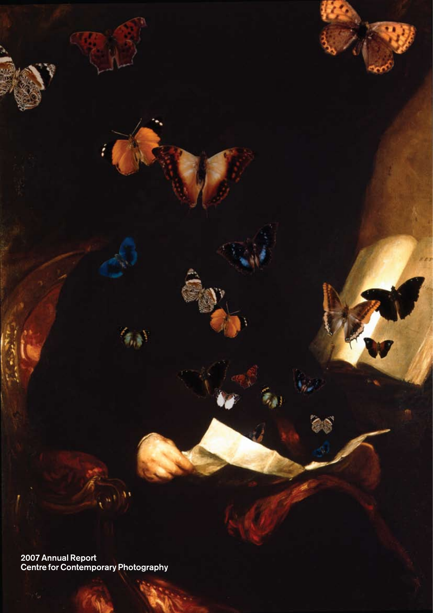2007 Annual Report Centre for Contemporary Photography

 $\langle \hat{\eta}_0 \rangle$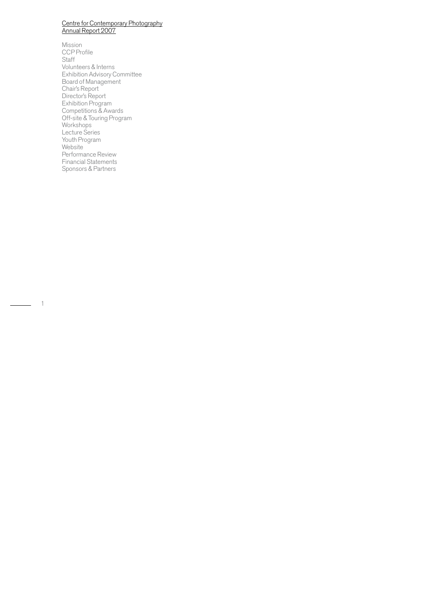#### **Centre for Contemporary Photography** Annual Report 2007

Mission CCP Profile Staff Volunteers & Interns Exhibition Advisory Committee Board of Management Chair's Report Director's Report Exhibition Program Competitions & Awards Off-site & Touring Program Workshops Lecture Series Youth Program Website Performance Review Financial Statements Sponsors & Partners

 $\overline{\phantom{0}}$  1

 $\overline{a}$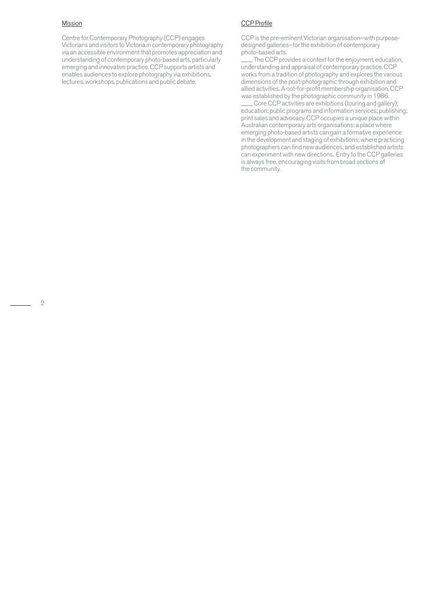### Mission

2

Centre for Contemporary Photography (CCP) engages Victorians and visitors to Victoria in contemporary photography via an accessible environment that promotes appreciation and understanding of contemporary photo-based arts, particularly emerging and innovative practice. CCP supports artists and enables audiences to explore photography via exhibitions, lectures, workshops, publications and public debate.

### CCP Profile

CCP is the pre-eminent Victorian organisation–with purposedesigned galleries–for the exhibition of contemporary photo-based arts.

 The CCP provides a context for the enjoyment, education, understanding and appraisal of contemporary practice. CCP works from a tradition of photography and explores the various dimensions of the post-photographic through exhibition and allied activities. A not-for-profit membership organisation, CCP was established by the photographic community in 1986.

 Core CCP activities are exhibitions (touring and gallery); education; public programs and information services; publishing; print sales and advocacy. CCP occupies a unique place within Australian contemporary arts organisations; a place where emerging photo-based artists can gain a formative experience in the development and staging of exhibitions; where practicing photographers can find new audiences; and established artists can experiment with new directions. Entry to the CCP galleries is always free, encouraging visits from broad sections of the community.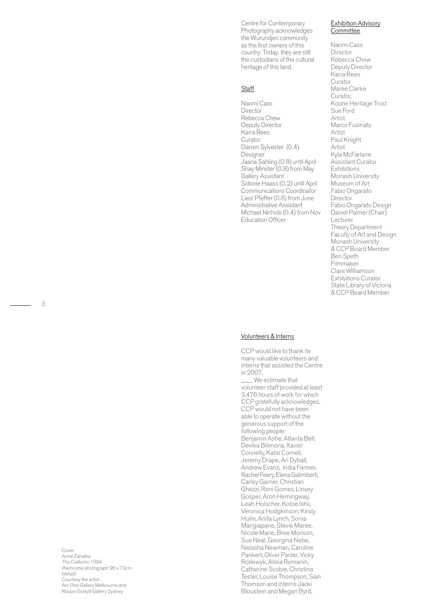Centre for Contemporary Photography acknowledges the Wurundjeri community as the first owners of this country. Today, they are still the custodians of the cultural heritage of this land.

### **Staff**

Naomi Cass Director Rebecca Chew Deputy Director Karra Rees **Curator** Darren Sylvester (0.4) **Designer** Jaana Sahling (0.8) until April Shay Minster (0.8) from May Gallery Assistant Sidonie Haass (0.2) until April Communications Coordinator Liesl Pfeffer (0.6) from June Administrative Assistant Michael Nichols (0.4) from Nov Education Officer

### Exhibition Advisory **Committee**

Naomi Cass Director Rebecca Chew Deputy Director Karra Rees Curator Maree Clarke Curator, Koorie Heritage Trust Sue Ford Artist Marco Fusinato Artist Paul Knight Artist Kyla McFarlane Assistant Curator Exhibitions Monash University Museum of Art Fabio Ongarato Director Fabio Ongarato Design Daniel Palmer (Chair) Lecturer Theory Department Faculty of Art and Design Monash University & CCP Board Member Ben Speth Filmmaker Clare Williamson Exhibitions Curator State Library of Victoria & CCP Board Member

### Volunteers & Interns

CCP would like to thank its many valuable volunteers and interns that assisted the Centre in 2007. We estimate that volunteer staff provided at least 3,476 hours of work for which CCP gratefully acknowledges. CCP would not have been able to operate without the generous support of the following people: Benjamin Ashe, Atlanta Bell, Devika Bilimoria, Xavier Connelly, Katie Cornell, Jeremy Drape, Ari Dyball, Andrew Evans, India Farmer, Rachel Feery, Elena Galimberti, Carley Garner, Christian Ghezzi, Roni Gomez, Linsey Gosper, Aron Hemingway, Leah Holscher, Kotoe Ishii, Veronica Hodgkinson, Kirsty Hulm, Anita Lynch, Sonia Mangiapane, Stevie Maree, Nicole Marie, Bree Morison, Sue Neal, Georgina Nebe, Natasha Newman, Caroline Pankert, Oliver Parzer, Vicky Rodewyk, Alisia Romanin, Catherine Scobie, Christina Tester, Louise Thompson, Sian Thomson and interns Jacki Bloustein and Megan Byrd.

3

Cover Anne Zahalka *The Collector* 1994 ilfachrome photograph 96 x 73cm (detail) Courtesy the artist Arc One Gallery Melbourne and Roslyn Oxley9 Gallery Sydney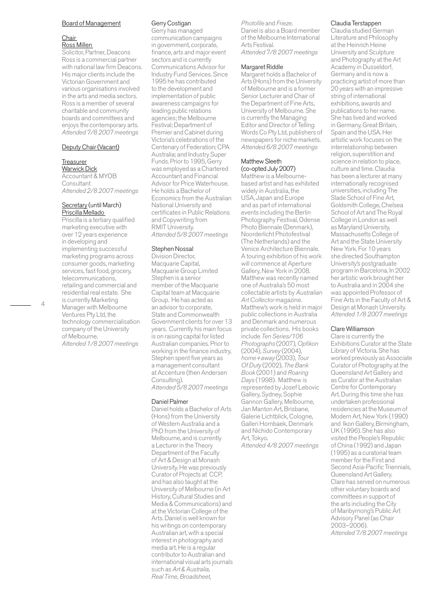#### **Board of Management**

# Chair Ross Millen

Solicitor, Partner, Deacons Ross is a commercial partner with national law firm Deacons. His major clients include the Victorian Government and various organisations involved in the arts and media sectors. Ross is a member of several charitable and community boards and committees and enjoys the contemporary arts. *Attended 7/8 2007 meetings*

#### Deputy Chair (Vacant)

#### **Treasurer**

4

**Warwick Dick** Accountant & MYOB Consultant *Attended 2/8 2007 meetings*

### Secretary (until March) Priscilla Mellado

Priscilla is a tertiary qualified marketing executive with over 12 years experience in developing and implementing successful marketing programs across consumer goods, marketing services, fast food, grocery, telecommunications, retailing and commercial and residential real estate. She is currently Marketing Managerwith Melbourne Ventures Pty Ltd, the technology commercialisation company of the University of Melbourne. *Attended 1/8 2007 meetings*

Gerry Costigan

Gerry has managed communication campaigns in government, corporate, finance, arts and major event sectors and is currently Communications Advisor for Industry Fund Services. Since 1995 he has contributed to the development and implementation of public awareness campaigns for leading public relations agencies; the Melbourne Festival; Department of Premier and Cabinet during Victoria's celebrations of the Centenary of Federation; CPA Australia; and Industry Super Funds. Prior to 1995, Gerry was employed as a Chartered Accountant and Financial Advisor for Price Waterhouse. He holds a Bachelor of Economics from the Australian National University and certificates in Public Relations and Copywriting from RMIT University. *Attended 5/8 2007 meetings*

#### Stephen Nossal

Division Director, Macquarie Capital, Macquarie Group Limited Stephen is a senior member of the Macquarie Capital team at Macquarie Group. He has acted as an advisor to corporate, State and Commonwealth Government clients for over 13 years. Currently his main focus is on raising capital for listed Australian companies. Prior to working in the finance industry, Stephen spent five years as a management consultant at Accenture (then Andersen Consulting). *Attended 5/8 2007 meetings*

#### Daniel Palmer

Daniel holds a Bachelor of Arts (Hons) from the University of Western Australia and a PhD from the University of Melbourne, and is currently a Lecturer in the Theory Department of the Faculty of Art & Design at Monash University. He was previously Curator of Projects at CCP, and has also taught at the University of Melbourne (in Art History, Cultural Studies and Media & Communications) and at the Victorian College of the Arts. Daniel is well known for his writings on contemporary Australian art, with a special interest in photography and media art. He is a regular contributor to Australian and international visual arts journals such as *Art & Australia, Real Time, Broadsheet,* 

*Photofile* and *Frieze*. Daniel is also a Board member of the Melbourne International Arts Festival.

*Attended 7/8 2007 meetings*

### Margaret Riddle

Margaret holds a Bachelor of Arts (Hons) from the University of Melbourne and is a former Senior Lecturer and Chair of the Department of Fine Arts, University of Melbourne. She is currently the Managing Editor and Director of Telling Words Co Pty Ltd, publishers of newspapers for niche markets. *Attended 6/8 2007 meetings*

#### Matthew Sleeth (co-opted July 2007)

Matthew is a Melbournebased artist and has exhibited widely in Australia, the USA, Japan and Europe and as part of international events including the Berlin Photography Festival, Odense Photo Biennale (Denmark), Noorderlicht Photofestival (The Netherlands) and the Venice Architecture Biennale. A touring exhibition of his work will commence at Aperture Gallery, New York in 2008. Matthew was recently named one of Australia's 50 most collectable artists by *Australian Art Collector* magazine. Matthew's work is held in major public collections in Australia and Denmark and numerous private collections. His books include *Ten Series/106 Photographs* (2007), *Opfikon* (2004), *Survey* (2004), *home+away* (2003), *Tour Of Duty* (2002), *The Bank Book* (2001) and *Roaring Days* (1998). Matthew is represented by Josef Lebovic Gallery, Sydney, Sophie Gannon Gallery, Melbourne, Jan Manton Art, Brisbane, Galerie Lichtblick, Cologne, Galleri Hornbaek, Denmark and Nichido Contemporary Art, Tokyo.

*Attended 4/8 2007 meetings*

#### Claudia Terstappen

Claudia studied German Literature and Philosophy at the Heinrich Heine University and Sculpture and Photography at the Art Academy in Dusseldorf, Germany and is now a practicing artist of more than 20 years with an impressive string of international exhibitions, awards and publications to her name. She has lived and worked in Germany, Great Britain, Spain and the USA. Her artistic work focuses on the interrelationship between religion, superstition and science in relation to place, culture and time. Claudia has been a lecturer at many internationally recognised universities, including The Slade School of Fine Art, Goldsmith College, Chelsea School of Art and The Royal College in London as well as Maryland University, Massachusetts College of Art and the State University New York. For 10 years she directed Southampton University's postgraduate program in Barcelona. In 2002 her artistic work brought her to Australia and in 2004 she was appointed Professor of Fine Arts in the Faculty of Art & Design at Monash University. *Attended 1/8 2007 meetings*

### Clare Williamson

Clare is currently the Exhibitions Curator at the State Library of Victoria. She has worked previously as Associate Curator of Photography at the Queensland Art Gallery and as Curator at the Australian Centre for Contemporary Art. During this time she has undertaken professional residencies at the Museum of Modern Art, New York (1990) and Ikon Gallery, Birmingham, UK (1996). She has also visited the People's Republic of China (1992) and Japan (1995) as a curatorial team member for the First and Second Asia-Pacific Triennials, Queensland Art Gallery. Clare has served on numerous other voluntary boards and committees in support of the arts including the City of Maribyrnong's Public Art Advisory Panel (as Chair 2003–2006). *Attended 7/8 2007 meetings*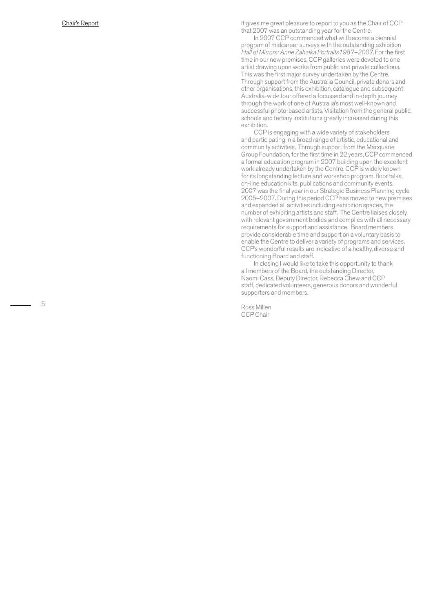It gives me great pleasure to report to you as the Chair of CCP that 2007 was an outstanding year for the Centre.

 In 2007 CCP commenced what will become a biennial program of midcareer surveys with the outstanding exhibition *Hall of Mirrors: Anne Zahalka Portraits1987–2007*. For the first time in our new premises, CCP galleries were devoted to one artist drawing upon works from public and private collections. This was the first major survey undertaken by the Centre. Through support from the Australia Council, private donors and other organisations, this exhibition, catalogue and subsequent Australia-wide tour offered a focussed and in-depth journey through the work of one of Australia's most well-known and successful photo-based artists. Visitation from the general public, schools and tertiary institutions greatly increased during this exhibition.

 CCP is engaging with a wide variety of stakeholders and participating in a broad range of artistic, educational and community activities. Through support from the Macquarie Group Foundation, for the first time in 22 years, CCP commenced a formal education program in 2007 building upon the excellent work already undertaken by the Centre. CCP is widely known for its longstanding lecture and workshop program, floor talks, on-line education kits, publications and community events. 2007 was the final year in our Strategic Business Planning cycle 2005–2007. During this period CCP has moved to new premises and expanded all activities including exhibition spaces, the number of exhibiting artists and staff. The Centre liaises closely with relevant government bodies and complies with all necessary requirements for support and assistance. Board members provide considerable time and support on a voluntary basis to enable the Centre to deliver a variety of programs and services. CCP's wonderful results are indicative of a healthy, diverse and functioning Board and staff.

 In closing I would like to take this opportunity to thank all members of the Board, the outstanding Director, Naomi Cass, Deputy Director, Rebecca Chew and CCP staff, dedicated volunteers, generous donors and wonderful supporters and members.

Ross Millen CCP Chair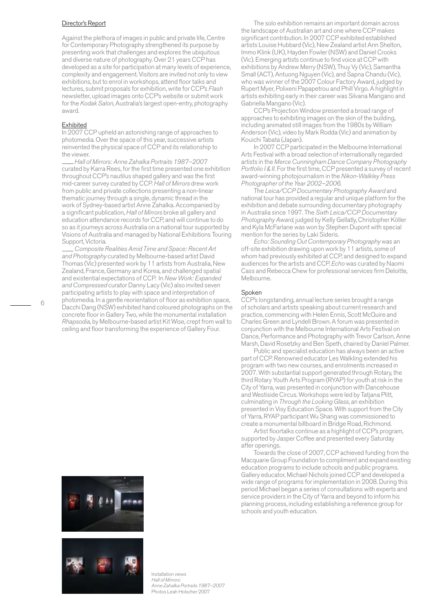### Director's Report

Against the plethora of images in public and private life, Centre for Contemporary Photography strengthened its purpose by presenting work that challenges and explores the ubiquitous and diverse nature of photography. Over 21 years CCP has developed as a site for participation at many levels of experience, complexity and engagement. Visitors are invited not only to view exhibitions, but to enrol in workshops, attend floor talks and lectures, submit proposals for exhibition, write for CCP's *Flash* newsletter, upload images onto CCP's website or submit work for the *Kodak Salon*, Australia's largest open-entry, photography award.

#### **Exhibited**

In 2007 CCP upheld an astonishing range of approaches to photomedia. Over the space of this year, successive artists reinvented the physical space of CCP and its relationship to the viewer.

 *Hall of Mirrors: Anne Zahalka Portraits 1987–2007* curated by Karra Rees, for the first time presented one exhibition throughout CCP's nautilus shaped gallery and was the first mid-career survey curated by CCP. *Hall of Mirrors* drew work from public and private collections presenting a non-linear thematic journey through a single, dynamic thread in the work of Sydney-based artist Anne Zahalka. Accompanied by a significant publication, *Hall of Mirrors* broke all gallery and education attendance records for CCP, and will continue to do so as it journeys across Australia on a national tour supported by Visions of Australia and managed by National Exhibitions Touring Support, Victoria.

 *Composite Realities Amid Time and Space: Recent Art and Photography* curated by Melbourne-based artist David Thomas (Vic) presented work by 11 artists from Australia, New Zealand, France, Germany and Korea, and challenged spatial and existential expectations of CCP. In *New Work: Expanded and Compressed* curator Danny Lacy (Vic) also invited seven participating artists to play with space and interpretation of photomedia. In a gentle reorientation of floor as exhibition space, Dacchi Dang (NSW) exhibited hand coloured photographs on the concrete floor in Gallery Two, while the monumental installation *Rhapsodia*, by Melbourne-based artist Kit Wise, crept from wall to ceiling and floor transforming the experience of Gallery Four.





Installation views *Hall of Mirrors: Anne Zahalka Portraits 1987–2007* Photos Leah Holscher 2007

 The solo exhibition remains an important domain across the landscape of Australian art and one where CCP makes significant contribution. In 2007 CCP exhibited established artists Louise Hubbard (Vic), New Zealand artist Ann Shelton, Immo Klink (UK), Hayden Fowler (NSW) and Daniel Crooks (Vic). Emerging artists continue to find voice at CCP with exhibitions by Andrew Merry (NSW), Thuy Vy (Vic), Samantha Small (ACT), Antuong Nguyen (Vic), and Sapna Chandu (Vic), who was winner of the 2007 Colour Factory Award, judged by Rupert Myer, Polixeni Papapetrou and Phill Virgo. A highlight in artists exhibiting early in their career was Silvana Mangano and Gabriella Mangano (Vic).

 CCP's Projection Window presented a broad range of approaches to exhibiting images on the skin of the building, including animated still images from the 1980s by William Anderson (Vic), video by Mark Rodda (Vic) and animation by Kouichi Tabata (Japan).

 In 2007 CCP participated in the Melbourne International Arts Festival with a broad selection of internationally regarded artists in the *Merce Cunningham Dance Company Photography Portfolio I & II.* For the first time, CCP presented a survey of recent award-winning photojournalism in the *Nikon-Walkley Press Photographer of the Year 2002–2006*.

 The *Leica/CCP Documentary Photography Award* and national tour has provided a regular and unique platform for the exhibition and debate surrounding documentary photography in Australia since 1997. The *Sixth Leica/CCP Documentary Photography Award*, judged by Kelly Gellatly, Christopher Köller and Kyla McFarlane was won by Stephen Dupont with special mention for the series by Laki Sideris.

 *Echo: Sounding Out Contemporary Photography* was an off-site exhibition drawing upon work by 11 artists, some of whom had previously exhibited at CCP, and designed to expand audiences for the artists and CCP. *Echo* was curated by Naomi Cass and Rebecca Chew for professional services firm Deloitte, Melbourne.

#### Spoken

CCP's longstanding, annual lecture series brought a range of scholars and artists speaking about current research and practice, commencing with Helen Ennis, Scott McQuire and Charles Green and Lyndell Brown. A forum was presented in conjunction with the Melbourne International Arts Festival on Dance, Performance and Photography with Trevor Carlson, Anne Marsh, David Rosetzky and Ben Speth, chaired by Daniel Palmer.

 Public and specialist education has always been an active part of CCP. Renowned educator Les Walkling extended his program with two new courses, and enrolments increased in 2007. With substantial support generated through Rotary, the third Rotary Youth Arts Program (RYAP) for youth at risk in the City of Yarra, was presented in conjunction with Dancehouse and Westiside Circus. Workshops were led by Tatjana Plitt, culminating in *Through the Looking Glass*, an exhibition presented in Visy Education Space. With support from the City of Yarra, RYAP participant Wu Shang was commissioned to create a monumental billboard in Bridge Road, Richmond.

 Artist floortalks continue as a highlight of CCP's program, supported by Jasper Coffee and presented every Saturday after openings.

 Towards the close of 2007, CCP achieved funding from the Macquarie Group Foundation to compliment and expand existing education programs to include schools and public programs. Gallery educator, Michael Nichols joined CCP and developed a wide range of programs for implementation in 2008. During this period Michael began a series of consultations with experts and service providers in the City of Yarra and beyond to inform his planning process, including establishing a reference group for schools and youth education.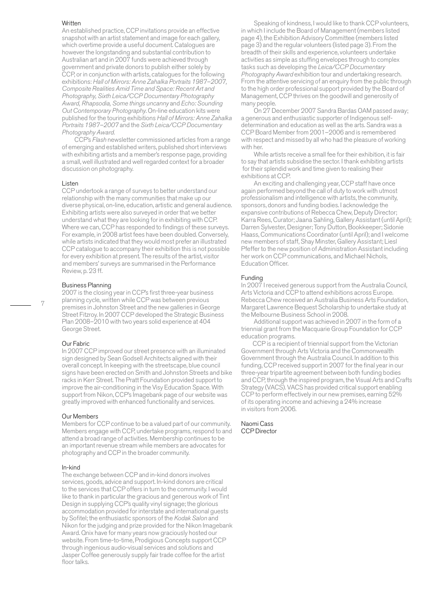#### Written

An established practice, CCP invitations provide an effective snapshot with an artist statement and image for each gallery, which overtime provide a useful document. Catalogues are however the longstanding and substantial contribution to Australian art and in 2007 funds were achieved through government and private donors to publish either solely by CCP, or in conjunction with artists, catalogues for the following exhibitions: *Hall of Mirrors: Anne Zahalka Portraits 1987–2007, Composite Realities Amid Time and Space: Recent Art and Photography, Sixth Leica/CCP Documentary Photography Award, Rhapsodia, Some things uncanny* and *Echo: Sounding Out Contemporary Photography*. On-line education kits were published for the touring exhibitions *Hall of Mirrors: Anne Zahalka Portraits 1987–2007* and the *Sixth Leica/CCP Documentary Photography Award.* 

 CCP's *Flash* newsletter commissioned articles from a range of emerging and established writers, published short interviews with exhibiting artists and a member's response page, providing a small, well illustrated and well regarded context for a broader discussion on photography.

#### Listen

CCP undertook a range of surveys to better understand our relationship with the many communities that make up our diverse physical, on-line, education, artistic and general audience. Exhibiting artists were also surveyed in order that we better understand what they are looking for in exhibiting with CCP. Where we can, CCP has responded to findings of these surveys. For example, in 2008 artist fees have been doubled. Conversely, while artists indicated that they would most prefer an illustrated CCP catalogue to accompany their exhibition this is not possible for every exhibition at present. The results of the artist, visitor and members' surveys are summarised in the Performance Review, p. 23 ff.

#### Business Planning

2007 is the closing year in CCP's first three-year business planning cycle, written while CCP was between previous premises in Johnston Street and the new galleries in George Street Fitzroy. In 2007 CCP developed the Strategic Business Plan 2008–2010 with two years solid experience at 404 George Street.

#### Our Fabric

7

In 2007 CCP improved our street presence with an illuminated sign designed by Sean Godsell Architects aligned with their overall concept. In keeping with the streetscape, blue council signs have been erected on Smith and Johnston Streets and bike racks in Kerr Street. The Pratt Foundation provided support to improve the air-conditioning in the Visy Education Space. With support from Nikon, CCP's Imagebank page of our website was greatly improved with enhanced functionality and services.

#### Our Members

Members for CCP continue to be a valued part of our community. Members engage with CCP, undertake programs, respond to and attend a broad range of activities. Membership continues to be an important revenue stream while members are advocates for photography and CCP in the broader community.

#### In-kind

The exchange between CCP and in-kind donors involves services, goods, advice and support. In-kind donors are critical to the services that CCP offers in turn to the community. I would like to thank in particular the gracious and generous work of Tint Design in supplying CCP's quality vinyl signage; the glorious accommodation provided for interstate and international guests by Sofitel; the enthusiastic sponsors of the *Kodak Salon* and Nikon for the judging and prize provided for the Nikon Imagebank Award. Qnix have for many years now graciously hosted our website. From time-to-time, Prodigious Concepts support CCP through ingenious audio-visual services and solutions and Jasper Coffee generously supply fair trade coffee for the artist floor talks.

 Speaking of kindness, I would like to thank CCP volunteers, in which I include the Board of Management (members listed page 4), the Exhibition Advisory Committee (members listed page 3) and the regular volunteers (listed page 3). From the breadth of their skills and experience, volunteers undertake activities as simple as stuffing envelopes through to complex tasks such as developing the *Leica/CCP Documentary Photography Award* exhibition tour and undertaking research. From the attentive servicing of an enquiry from the public through to the high order professional support provided by the Board of Management, CCP thrives on the goodwill and generosity of many people.

 On 27 December 2007 Sandra Bardas OAM passed away; a generous and enthusiastic supporter of Indigenous selfdetermination and education as well as the arts. Sandra was a CCP Board Member from 2001–2006 and is remembered with respect and missed by all who had the pleasure of working with her.

 While artists receive a small fee for their exhibition, it is fair to say that artists subsidise the sector. I thank exhibiting artists for their splendid work and time given to realising their exhibitions at CCP.

 An exciting and challenging year, CCP staff have once again performed beyond the call of duty to work with utmost professionalism and intelligence with artists, the community, sponsors, donors and funding bodies. I acknowledge the expansive contributions of Rebecca Chew, Deputy Director; Karra Rees, Curator; Jaana Sahling, Gallery Assistant (until April); Darren Sylvester, Designer; Tony Dutton, Bookkeeper; Sidonie Haass, Communications Coordinator (until April); and I welcome new members of staff, Shay Minster, Gallery Assistant; Liesl Pfeffer to the new position of Administration Assistant including her work on CCP communications, and Michael Nichols, Education Officer.

### Funding

In 2007 I received generous support from the Australia Council, Arts Victoria and CCP to attend exhibitions across Europe. Rebecca Chew received an Australia Business Arts Foundation, Margaret Lawrence Bequest Scholarship to undertake study at the Melbourne Business School in 2008.

 Additional support was achieved in 2007 in the form of a triennial grant from the Macquarie Group Foundation for CCP education programs.

 CCP is a recipient of triennial support from the Victorian Government through Arts Victoria and the Commonwealth Government through the Australia Council. In addition to this funding, CCP received support in 2007 for the final year in our three-year tripartite agreement between both funding bodies and CCP, through the inspired program, the Visual Arts and Crafts Strategy (VACS). VACS has provided critical support enabling CCP to perform effectively in our new premises, earning 52% of its operating income and achieving a 24% increase in visitors from 2006.

Naomi Cass CCP Director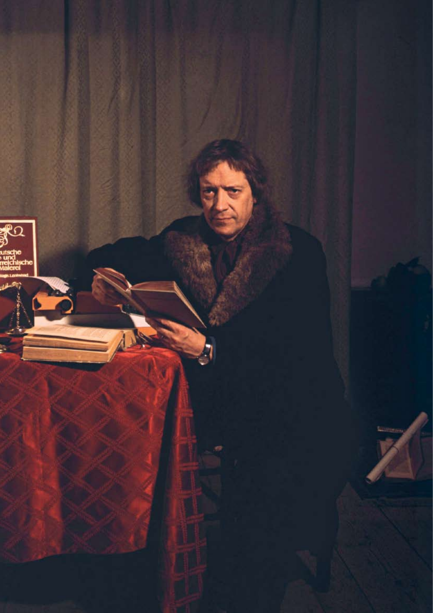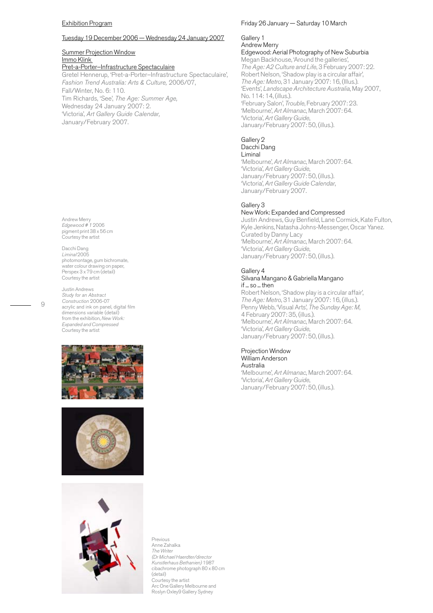### Exhibition Program

### Tuesday 19 December 2006 — Wednesday 24 January 2007

### Summer Projection Window Immo Klink

### Pret-a-Porter–Infrastructure Spectaculaire

Gretel Hennerup, 'Pret-a-Porter–Infrastructure Spectaculaire', *Fashion Trend Australia: Arts & Culture,* 2006/07, Fall/Winter, No. 6: 110. Tim Richards, 'See', *The Age: Summer Age,*  Wednesday 24 January 2007: 2. 'Victoria', *Art Gallery Guide Calendar,*  January/February 2007.

Andrew Merry *Edgewood # 1* 2006 pigment print 38 x 56 cm Courtesy the artist

Dacchi Dang *Liminal* 2005 photomontage, gum bichromate, water colour drawing on paper, Perspex 3 x 79 cm (detail) Courtesy the artist

Justin Andrews *Study for an Abstract Construction* 2006-07 acrylic and ink on panel, digital film dimensions variable (detail) from the exhibition, *New Work: Expanded and Compressed* Courtesy the artist





Anne Zahalka *The Writer (Dr Michael Haerdter/director Kunstlerhaus Bethanien)* 1987 cibachrome photograph 80 x 80 cm (detail) Courtesy the artist Arc One Gallery Melbourne and Roslyn Oxley9 Gallery Sydney

Previous

#### Friday 26 January — Saturday 10 March

### Gallery 1 Andrew Merry

### Edgewood: Aerial Photography of New Suburbia Megan Backhouse, 'Around the galleries', *The Age: A2 Culture and Life*, 3 February 2007: 22. Robert Nelson, 'Shadow play is a circular affair', *The Age: Metro*, 31 January 2007: 16, (Illus.). 'Events', *Landscape Architecture Australia*, May 2007, No. 114: 14, (illus.). 'February Salon', *Trouble*, February 2007: 23. 'Melbourne', *Art Almanac*, March 2007: 64. 'Victoria', *Art Gallery Guide*, January/February 2007: 50, (illus.).

### Gallery 2

#### Dacchi Dang Liminal

'Melbourne', *Art Almanac*, March 2007: 64. 'Victoria', *Art Gallery Guide*, January/February 2007: 50, (illus.). 'Victoria', *Art Gallery Guide Calendar*, January/February 2007.

### Gallery 3

New Work: Expanded and Compressed Justin Andrews, Guy Benfield, Lane Cormick, Kate Fulton, Kyle Jenkins, Natasha Johns-Messenger, Oscar Yanez. Curated by Danny Lacy 'Melbourne', *Art Almanac*, March 2007: 64. 'Victoria', *Art Gallery Guide*, January/February 2007: 50, (illus.).

### Gallery 4

Silvana Mangano & Gabriella Mangano if ... so ... then

Robert Nelson, 'Shadow play is a circular affair', *The Age: Metro*, 31 January 2007: 16, (illus.). Penny Webb, 'Visual Arts', *The Sunday Age: M*, 4 February 2007: 35, (illus.). 'Melbourne', *Art Almanac*, March 2007: 64. 'Victoria', *Art Gallery Guide*, January/February 2007: 50, (illus.).

#### Projection Window William Anderson

Australia

'Melbourne', *Art Almanac*, March 2007: 64. 'Victoria', *Art Gallery Guide*, January/February 2007: 50, (illus.).

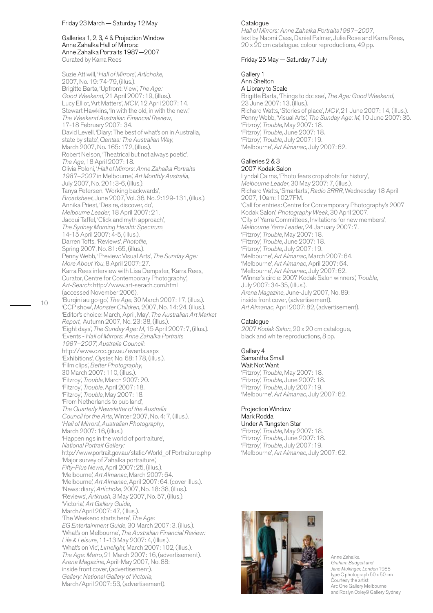### Galleries 1, 2, 3, 4 & Projection Window Anne Zahalka Hall of Mirrors: Anne Zahalka Portraits 1987—2007 Curated by Karra Rees

Suzie Attiwill, '*Hall of Mirrors*', *Artichoke*, 2007, No. 19: 74-79, (illus.). Brigitte Barta, 'Upfront: View', *The Age: Good Weekend*, 21 April 2007: 19, (illus.). Lucy Elliot, 'Art Matters', *MCV*, 12 April 2007: 14. Stewart Hawkins, 'In with the old, in with the new,' *The Weekend Australian Financial Review*, 17-18 February 2007: 34. David Levell, 'Diary: The best of what's on in Australia, state by state', *Qantas: The Australian Way*, March 2007, No. 165: 172, (illus.). Robert Nelson, 'Theatrical but not always poetic', *The Age*, 18 April 2007: 18. Olivia Poloni, '*Hall of Mirrors: Anne Zahalka Portraits 1987–2007* in Melbourne', *Art Monthly Australia*, July 2007, No. 201: 3-6, (illus.). Tanya Petersen, 'Working backwards', *Broadsheet*, June 2007, Vol. 36, No. 2:129-131, (illus.). Annika Priest, 'Desire, discover, do', *Melbourne Leader*, 18 April 2007: 21. Jacqui Taffel, 'Click and myth approach', *The Sydney Morning Herald: Spectrum*, 14-15 April 2007: 4-5, (illus.). Darren Tofts, 'Reviews', *Photofile*, Spring 2007, No. 81: 65, (illus.). Penny Webb, 'Preview: Visual Arts', *The Sunday Age: More About You*, 8 April 2007: 27. Karra Rees interview with Lisa Dempster, 'Karra Rees, Curator, Centre for Contemporary Photography', *Art-Search*: http://www.art-serach.com.html (accessed November 2006). 'Burqini au go-go', *The Age*, 30 March 2007: 17, (illus.). 'CCP show', *Monster Children*, 2007, No. 14: 24, (illus.). 'Editor's choice: March, April, May', *The Australian Art Market Report*, Autumn 2007, No. 23: 38, (illus.). 'Eight days', *The Sunday Age: M*, 15 April 2007: 7, (illus.). 'Events - *Hall of Mirrors: Anne Zahalka Portraits 1987–2007*', *Australia Council*: http://www.ozco.gov.au/events.aspx 'Exhibitions', *Oyster*, No. 68: 178, (illus.). 'Film clips', *Better Photography*, 30 March 2007: 110, (illus.). 'Fitzroy', *Trouble*, March 2007: 20. 'Fitzroy', *Trouble*, April 2007: 18. 'Fitzroy', *Trouble*, May 2007: 18. 'From Netherlands to pub land', *The Quarterly Newsletter of the Australia Council for the Arts*, Winter 2007, No. 4: 7, (illus.). '*Hall of Mirrors*', *Australian Photography*, March 2007: 16, (illus.). 'Happenings in the world of portraiture', *National Portrait Gallery:* http://www.portrait.gov.au/static/World\_of Portraiture.php 'Major survey of Zahalka portraiture', *Fifty-Plus News*, April 2007: 25, (illus.). 'Melbourne', *Art Almanac*, March 2007: 64. 'Melbourne', *Art Almanac*, April 2007: 64, (cover illus.). 'News: diary', *Artichoke*, 2007, No. 18: 38, (illus.). 'Reviews', *Artkrush*, 3 May 2007, No. 57, (illus.). 'Victoria', *Art Gallery Guide*, March/April 2007: 47, (illus.). 'The Weekend starts here', *The Age: EG Entertainment Guide*, 30 March 2007: 3, (illus.). 'What's on Melbourne', *The Australian Financial Review: Life & Leisure*, 11-13 May 2007: 4, (illus.). 'What's on Vic', *Limelight*, March 2007: 102, (illus.). *The Age: Metro*, 21 March 2007: 16, (advertisement). *Arena Magazine*, April-May 2007, No. 88: inside front cover, (advertisement). *Gallery: National Gallery of Victoria*, March/April 2007: 53, (advertisement).

# **Catalogue**

*Hall of Mirrors: Anne Zahalka Portraits1987–2007*, text by Naomi Cass, Daniel Palmer, Julie Rose and Karra Rees, 20 x 20 cm catalogue, colour reproductions, 49 pp.

# Friday 25 May — Saturday 7 July

Gallery 1 Ann Shelton A Library to Scale Brigitte Barta, 'Things to do: see', *The Age: Good Weekend*, 23 June 2007: 13, (illus.). Richard Watts, 'Stories of place', *MCV*, 21 June 2007: 14, (illus.). Penny Webb, 'Visual Arts', *The Sunday Age: M*, 10 June 2007: 35. 'Fitzroy', *Trouble*, May 2007: 18. 'Fitzroy', *Trouble*, June 2007: 18. 'Fitzroy', *Trouble*, July 2007: 19. 'Melbourne', *Art Almanac*, July 2007: 62.

#### Galleries 2 & 3 2007 Kodak Salon

Lyndal Cairns, 'Photo fears crop shots for history', *Melbourne Leader*, 30 May 2007: 7, (illus.). Richard Watts, 'Smartarts', *Radio 3RRR*, Wednesday 18 April 2007, 10am: 102.7FM. 'Call for entries: Centre for Contemporary Photography's 2007 Kodak Salon', *Photography Week*, 30 April 2007. 'City of Yarra Committees, Invitations for new members', *Melbourne Yarra Leader*, 24 January 2007: 7. 'Fitzroy', *Trouble*, May 2007: 18. 'Fitzroy', *Trouble*, June 2007: 18. 'Fitzroy', *Trouble*, July 2007: 19. 'Melbourne', *Art Almanac*, March 2007: 64. 'Melbourne', *Art Almanac*, April 2007: 64. 'Melbourne', *Art Almanac*, July 2007: 62. 'Winner's circle: 2007 Kodak Salon winners', *Trouble*, July 2007: 34-35, (illus.). *Arena Magazine*, June-July 2007, No. 89: inside front cover, (advertisement). *Art Almanac*, April 2007: 82, (advertisement).

# **Catalogue**

*2007 Kodak Salon*, 20 x 20 cm catalogue, black and white reproductions, 8 pp.

#### Gallery 4 Samantha Small

Wait Not Want 'Fitzroy', *Trouble*, May 2007: 18. 'Fitzroy', *Trouble*, June 2007: 18. 'Fitzroy', *Trouble*, July 2007: 19.

'Melbourne', *Art Almanac*, July 2007: 62. Projection Window Mark Rodda Under A Tungsten Star

'Fitzroy', *Trouble*, May 2007: 18. 'Fitzroy', *Trouble*, June 2007: 18. 'Fitzroy', *Trouble*, July 2007: 19. 'Melbourne', *Art Almanac*, July 2007: 62.



Anne Zahalka *Graham Budgett and Jane Mulfinger, London* 1988 type C photograph 50 x 50 cm Courtesy the artist Arc One Gallery Melbourne and Roslyn Oxley9 Gallery Sydney

 $1<sub>0</sub>$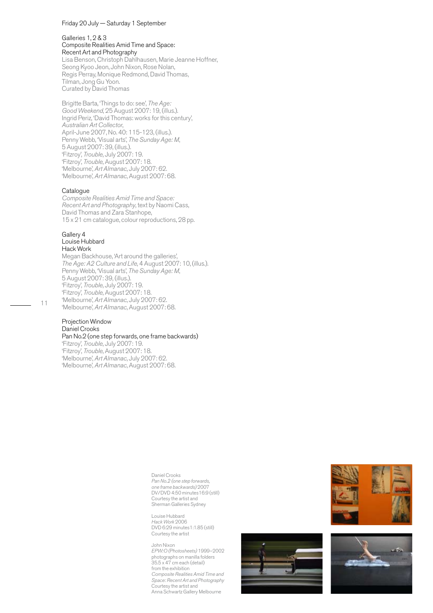#### Friday 20 July — Saturday 1 September

### Galleries 1, 2 & 3 Composite Realities Amid Time and Space: Recent Art and Photography

Lisa Benson, Christoph Dahlhausen, Marie Jeanne Hoffner, Seong Kyoo Jeon, John Nixon, Rose Nolan, Regis Perray, Monique Redmond, David Thomas, Tilman, Jong Gu Yoon. Curated by David Thomas

Brigitte Barta, 'Things to do: see', *The Age: Good Weekend*, 25 August 2007: 19, (illus.). Ingrid Periz, 'David Thomas: works for this century', *Australian Art Collector*, April-June 2007, No. 40: 115-123, (illus.). Penny Webb, 'Visual arts', *The Sunday Age: M*, 5 August 2007: 39, (illus.). 'Fitzroy', *Trouble*, July 2007: 19. 'Fitzroy', *Trouble*, August 2007: 18. 'Melbourne', *Art Almanac*, July 2007: 62. 'Melbourne', *Art Almanac*, August 2007: 68.

#### **Catalogue**

*Composite Realities Amid Time and Space: Recent Art and Photography*, text by Naomi Cass, David Thomas and Zara Stanhope, 15 x 21 cm catalogue, colour reproductions, 28 pp.

### Gallery 4 Louise Hubbard

Hack Work

Megan Backhouse, 'Art around the galleries', *The Age: A2 Culture and Life*, 4 August 2007: 10, (illus.). Penny Webb, 'Visual arts', *The Sunday Age: M*, 5 August 2007: 39, (illus.). 'Fitzroy', *Trouble*, July 2007: 19. 'Fitzroy', *Trouble*, August 2007: 18. 'Melbourne', *Art Almanac*, July 2007: 62. 'Melbourne', *Art Almanac*, August 2007: 68.

#### Projection Window Daniel Crooks

### Pan No.2 (one step forwards, one frame backwards) 'Fitzroy', *Trouble*, July 2007: 19.

'Fitzroy', *Trouble*, August 2007: 18. 'Melbourne', *Art Almanac*, July 2007: 62. 'Melbourne', *Art Almanac*, August 2007: 68.

> Daniel Crooks *Pan No.2 (one step forwards, one frame backwards)* 2007 DV/DVD 4:50 minutes16:9 (still) Courtesy the artist and Sherman Galleries Sydney

Louise Hubbard *Hack Work* 2006 DVD 6:29 minutes1:1.85 (still) Courtesy the artist

#### John Nixon *EPW:O (Photosheets)* 1999–2002 photographs on manilla folders 35.5 x 47 cm each (detail) from the exhibition *Composite Realities Amid Time and Space: Recent Art and Photography* Courtesy the artist and Anna Schwartz Gallery Melbourne





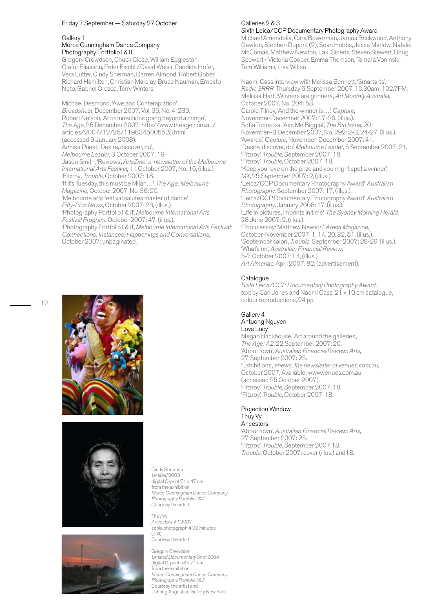#### Friday 7 September — Saturday 27 October

#### Gallery 1 Merce Cunningham Dance Company Photography Portfolio I & II

Gregory Crewdson, Chuck Close, William Eggleston, Olafur Eliasson, Peter Fischli/David Weiss, Candida Hofer, Vera Lutter, Cindy Sherman, Darren Almond, Robert Gober, Richard Hamilton, Christian Marclay, Bruce Nauman, Ernesto Neto, Gabriel Orozco, Terry Winters

Michael Desmond, 'Awe and Contemplation', *Broadsheet*, December 2007, Vol. 36, No. 4: 239. Robert Nelson, 'Art connections going beyond a cringe', *The Age*, 26 December 2007: http://www.theage.com.au/ articles/2007/12/25/1198345005528.html (accessed 9 January 2008). Annika Priest, 'Desire, discover, do', *Melbourne Leader*, 3 October 2007: 19. Jason Smith, 'Reviews', *ArtsZine: e-newsletter of the Melbourne International Arts Festival*, 11 October 2007, No. 16, (illus.). 'Fitzroy', *Trouble*, October 2007: 18. 'If it's Tuesday, this must be Milan…', *The Age: Melbourne Magazine*, October 2007, No. 36: 20. 'Melbourne arts festival salutes master of dance', *Fifty-Plus News*, October 2007: 23, (illus.). 'Photography Portfolio I & II', *Melbourne International Arts Festival Program*, October 2007: 47, (illus.). 'Photography Portfolio I & II', *Melbourne International Arts Festival: Connections, Instances, Happenings and Conversations*, October 2007: unpaginated.



12







Cindy Sherman *Untitled* 2003 digital C-print 71 x 47 cm from the exhibition *Merce Cunningham Dance Company Photography Portfolio I & II* Courtesy the artist

Thuy Vy *Ancestors #1* 2007 sepia photograph 4:00 minutes (still) Courtesy the artist

Gregory Crewdson *Untitled Documentary Shot* 2004 digital C-print 53 x 71 cm from the exhibition *Merce Cunningham Dance Company Photography Portfolio I & II* Courtesy the artist and Luhring Augustine Gallery New York

### Galleries 2 & 3

### Sixth Leica/CCP Documentary Photography Award

Michael Amendolia, Cara Bowerman, James Brickwood, Anthony Dawton, Stephen Dupont (2), Sean Hobbs, Jesse Marlow, Natalie McComas, Matthew Newton, Laki Sideris, Steven Siewert, Doug Spowart+Victoria Cooper, Emma Thomson, Tamara Voninski, Tom Williams, Lisa Wiltse

Naomi Cass interview with Melissa Bennett, 'Smartarts', *Radio 3RRR*, Thursday 6 September 2007, 10.30am: 102.7FM. Melissa Hart, 'Winners are grinners', *Art Monthly Australia*, October 2007, No. 204: 58. Carole Tilney, 'And the winner is…', *Capture*, November-December 2007: 17-23, (illus.). Sofia Todorova, 'Axe Me Biggie!', *The Big Issue*, 20 November–3 December 2007, No. 292: 2-3, 24-27, (illus.). 'Awards', *Capture*, November-December 2007: 41. 'Desire, discover, do', *Melbourne Leader*, 5 September 2007: 21. 'Fitzroy', *Trouble*, September 2007: 18. 'Fitzroy', *Trouble*, October 2007: 18. 'Keep your eye on the prize and you might spot a winner', *MX*, 25 September 2007: 2, (illus.). 'Leica/CCP Documentary Photography Award', *Australian Photography*, September 2007: 17, (illus.). 'Leica/CCP Documentary Photography Award', *Australian Photography*, January 2008: 17, (illus.). 'Life in pictures, imprints in time', *The Sydney Morning Herald*, 28 June 2007: 2, (illus.). 'Photo essay: Matthew Newton', *Arena Magazine*, October-November 2007: 1, 14, 20, 32, 51, (illus.). 'September salon', *Trouble*, September 2007: 28-29, (illus.). 'What's on', *Australian Financial Review*, 5-7 October 2007: L4, (illus.). *Art Almanac*, April 2007: 82, (advertisement).

# **Catalogue**

*Sixth Leica/CCP Documentary Photography Award*, text by Carl Jones and Naomi Cass, 21 x 10 cm catalogue, colour reproductions, 24 pp.

# Gallery 4

### Antuong Nguyen Love Lucy

Megan Backhouse, 'Art around the galleries', *The Age: A2*, 22 September 2007: 20. 'About town', *Australian Financial Review: Arts*, 27 September 2007: 25. 'Exhibitions', *enews, the newsletter of venues.com.au*, October 2007, Available; www.venues.com.au (accessed 25 October 2007). 'Fitzroy', *Trouble*, September 2007: 18. 'Fitzroy', *Trouble*, October 2007: 18.

#### Projection Window Thuy Vy Ancestors

'About town', *Australian Financial Review: Arts*, 27 September 2007: 25. 'Fitzroy', *Trouble*, September 2007:18. *Trouble*, October 2007: cover (illus.) and18.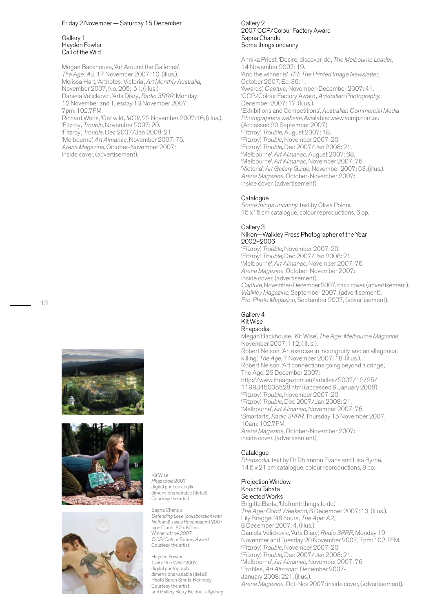#### Friday 2 November — Saturday 15 December

Gallery 1 Hayden Fowler Call of the Wild

Megan Backhouse, 'Art Around the Galleries', *The Age: A2*, 17 November 2007: 10, (illus.). Melissa Hart, 'Artnotes: Victoria', *Art Monthly Australia*, November 2007, No. 205: 51, (illus.). Daniela Velickovic, 'Arts Diary', *Radio 3RRR*, Monday 12 November and Tuesday 13 November 2007, 7pm: 102.7FM. Richard Watts, 'Get wild', *MCV*, 22 November 2007:16, (illus.). 'Fitzroy', *Trouble*, November 2007: 20.

'Fitzroy', *Trouble*, Dec 2007/Jan 2008: 21.

'Melbourne', *Art Almanac*, November 2007: 76.

*Arena Magazine*, October-November 2007: inside cover, (advertisement).

13







Kit Wise *Rhapsodia* 2007 digital print on acrylic dimensions variable (detail) Courtesy the artist

Sapna Chandu *Defending Love (collaboration with Nathan & Talica Rosenbaum)* 2007 type C print 80 x 80 cm Winner of the *2007 CCP/Colour Factory Award* Courtesy the artist

Hayden Fowler *Call of the Wild I* 2007 digital photograph dimensions variable (detail) Photo Sarah Smuts-Kennedy Courtesy the artist and Gallery Barry Keldoulis Sydney

#### Gallery 2 2007 CCP/Colour Factory Award Sapna Chandu Some things uncanny

Annika Priest, 'Desire, discover, do', *The Melbourne Leader*, 14 November 2007: 19. 'And the winner is', *TPI: The Printed Image Newsletter*, October 2007, Ed. 36: 1. 'Awards', *Capture*, November-December 2007: 41. 'CCP/Colour Factory Award', *Australian Photography*, December 2007: 17, (illus.). 'Exhibitions and Competitions', *Australian Commercial Media Photographers website*, Available: www.acmp.com.au (Accessed 20 September 2007). 'Fitzroy', *Trouble*, August 2007: 18. 'Fitzroy', *Trouble*, November 2007: 20. 'Fitzroy', *Trouble*, Dec 2007/Jan 2008: 21. 'Melbourne', *Art Almanac*, August 2007: 68. 'Melbourne', *Art Almanac*, November 2007: 76. 'Victoria', *Art Gallery Guide*, November 2007: 53, (illus.). *Arena Magazine*, October-November 2007: inside cover, (advertisement).

### **Catalogue**

*Some things uncanny*, text by Olivia Poloni, 15 x15 cm catalogue, colour reproductions, 6 pp.

### Gallery 3

#### Nikon—Walkley Press Photographer of the Year 2002–2006

'Fitzroy', *Trouble*, November 2007: 20. 'Fitzroy', *Trouble*, Dec 2007/Jan 2008: 21. 'Melbourne', *Art Almanac*, November 2007: 76. *Arena Magazine*, October-November 2007: inside cover, (advertisement). *Capture*, November-December 2007, back cover, (advertisement). *Walkley Magazine*, September 2007, (advertisement). *Pro-Photo Magazine*, September 2007, (advertisement).

#### Gallery 4 Kit Wise

# Rhapsodia

Megan Backhouse, 'Kit Wise', *The Age: Melbourne Magazine*, November 2007: 112, (illus.). Robert Nelson, 'An exercise in incongruity, and an allegorical killing', *The Age*, 7 November 2007: 18, (illus.). Robert Nelson, 'Art connections going beyond a cringe', The Age, 26 December 2007: http://www.theage.com.au/articles/2007/12/25/ 1198345005528.html (accessed 9 January 2008). 'Fitzroy', *Trouble*, November 2007: 20. 'Fitzroy', *Trouble*, Dec 2007/Jan 2008: 21. 'Melbourne', *Art Almanac*, November 2007: 76. 'Smartarts', *Radio 3RRR*, Thursday 15 November 2007, 10am: 102.7FM. *Arena Magazine*, October-November 2007: inside cover, (advertisement).

### **Catalogue**

*Rhapsodia*, text by Dr Rhiannon Evans and Lisa Byrne, 14.5 x 21 cm catalogue, colour reproductions, 8 pp.

# Projection Window Kouichi Tabata Selected Works

Brigitte Barta, 'Upfront: things to do', *The Age: Good Weekend*, 8 December 2007: 13, (illus.). Lily Bragge, '48 hours', *The Age: A2*, 8 December 2007: 4, (illus.). Daniela Velickovic, 'Arts Diary', *Radio 3RRR*, Monday 19 November and Tuesday 20 November 2007, 7pm: 102.7FM. 'Fitzroy', *Trouble*, November 2007: 20. 'Fitzroy', *Trouble*, Dec 2007/Jan 2008: 21. 'Melbourne', *Art Almanac*, November 2007: 76. 'Profiles', *Art Almanac*, December 2007- January 2008: 221, (illus.). *Arena Magazine*, Oct-Nov 2007: inside cover, (advertisement).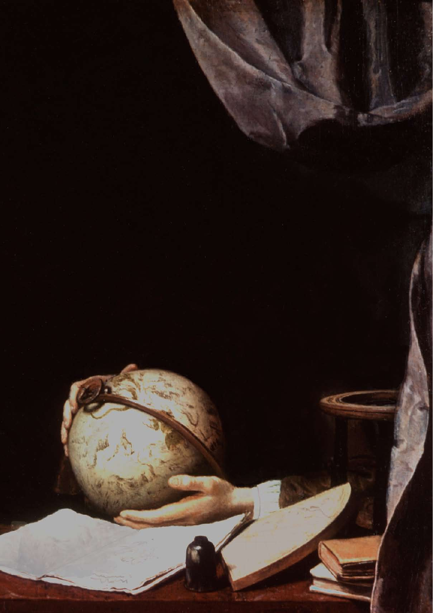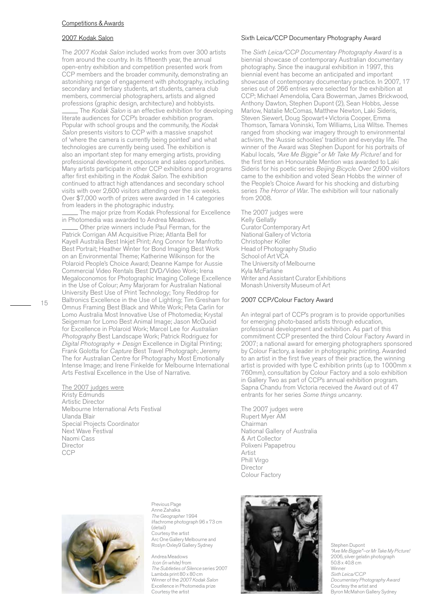#### Competitions & Awards

# 2007 Kodak Salon

The *2007 Kodak Salon* included works from over 300 artists from around the country. In its fifteenth year, the annual open-entry exhibition and competition presented work from CCP members and the broader community, demonstrating an astonishing range of engagement with photography, including secondary and tertiary students, art students, camera club members, commercial photographers, artists and aligned professions (graphic design, architecture) and hobbyists.

**The Kodak Salon is an effective exhibition for developing** literate audiences for CCP's broader exhibition program. Popular with school groups and the community, the *Kodak Salon* presents visitors to CCP with a massive snapshot of 'where the camera is currently being pointed' and what technologies are currently being used. The exhibition is also an important step for many emerging artists, providing professional development, exposure and sales opportunities. Many artists participate in other CCP exhibitions and programs after first exhibiting in the *Kodak Salon*. The exhibition continued to attract high attendances and secondary school visits with over 2,600 visitors attending over the six weeks. Over \$7,000 worth of prizes were awarded in 14 categories from leaders in the photographic industry.

 The major prize from Kodak Professional for Excellence in Photomedia was awarded to Andrea Meadows.

 Other prize winners include Paul Ferman, for the Patrick Corrigan AM Acquisitive Prize; Atlanta Bell for Kayell Australia Best Inkjet Print; Ang Connor for Manfrotto Best Portrait; Heather Winter for Bond Imaging Best Work on an Environmental Theme; Katherine Wilkinson for the Polaroid People's Choice Award; Deanne Kampe for Aussie Commercial Video Rentals Best DVD/Video Work; Irena Megaloconomos for Photographic Imaging College Excellence in the Use of Colour; Amy Marjoram for Australian National University Best Use of Print Technology; Tony Reddrop for Baltronics Excellence in the Use of Lighting; Tim Gresham for Omnus Framing Best Black and White Work; Peta Carlin for Lomo Australia Most Innovative Use of Photomedia; Krystal Seigerman for Lomo Best Animal Image; Jason McQuoid for Excellence in Polaroid Work; Marcel Lee for *Australian Photography* Best Landscape Work; Patrick Rodriguez for *Digital Photography + Design* Excellence in Digital Printing; Frank Golotta for *Capture* Best Travel Photograph; Jeremy The for Australian Centre for Photography Most Emotionally Intense Image; and Irene Finkelde for Melbourne International Arts Festival Excellence in the Use of Narrative.

The 2007 judges were Kristy Edmunds Artistic Director Melbourne International Arts Festival Ulanda Blair Special Projects Coordinator Next Wave Festival Naomi Cass Director CCP

### Sixth Leica/CCP Documentary Photography Award

The *Sixth Leica/CCP Documentary Photography Award* is a biennial showcase of contemporary Australian documentary photography. Since the inaugural exhibition in 1997, this biennial event has become an anticipated and important showcase of contemporary documentary practice. In 2007, 17 series out of 266 entries were selected for the exhibition at CCP; Michael Amendolia, Cara Bowerman, James Brickwood, Anthony Dawton, Stephen Dupont (2), Sean Hobbs, Jesse Marlow, Natalie McComas, Matthew Newton, Laki Sideris, Steven Siewert, Doug Spowart+Victoria Cooper, Emma Thomson, Tamara Voninski, Tom Williams, Lisa Wiltse. Themes ranged from shocking war imagery through to environmental activism, the 'Aussie schoolies' tradition and everyday life. The winner of the Award was Stephen Dupont for his portraits of Kabul locals, *"Axe Me Biggie" or Mr Take My Picture!* and for the first time an Honourable Mention was awarded to Laki Sideris for his poetic series *Beijing Bicycle*. Over 2,600 visitors came to the exhibition and voted Sean Hobbs the winner of the People's Choice Award for his shocking and disturbing series *The Horror of War*. The exhibition will tour nationally from 2008.

The 2007 judges were Kelly Gellatly Curator Contemporary Art National Gallery of Victoria Christopher Koller Head of Photography Studio School of Art VCA The University of Melbourne Kyla McFarlane Writer and Assistant Curator Exhibitions Monash University Museum of Art

### 2007 CCP/Colour Factory Award

An integral part of CCP's program is to provide opportunities for emerging photo-based artists through education, professional development and exhibition. As part of this commitment CCP presented the third Colour Factory Award in 2007; a national award for emerging photographers sponsored by Colour Factory, a leader in photographic printing. Awarded to an artist in the first five years of their practice, the winning artist is provided with type C exhibition prints (up to 1000mm x 760mm), consultation by Colour Factory and a solo exhibition in Gallery Two as part of CCP's annual exhibition program. Sapna Chandu from Victoria received the Award out of 47 entrants for her series *Some things uncanny*.

The 2007 judges were Rupert Myer AM Chairman National Gallery of Australia & Art Collector Polixeni Papapetrou Artist Phill Virgo **Director** Colour Factory



Previous Page Anne Zahalka *The Geographer* 1994 ilfachrome photograph 96 x 73 cm (detail) Courtesy the artist Arc One Gallery Melbourne and Roslyn Oxley9 Gallery Sydney

Andrea Meadows *Icon (in white)* from *The Subtleties of Silence* series 2007 Lambda print 80 x 80 cm Winner of the *2007 Kodak Salon* Excellence in Photomedia prize Courtesy the artist



Stephen Dupont *"Axe Me Biggie"–or Mr Take My Picture!* 2006, silver gelatin photograph 50.8 x 40.8 cm Winner *Sixth Leica/CCP Documentary Photography Award* Courtesy the artist and Byron McMahon Gallery Sydney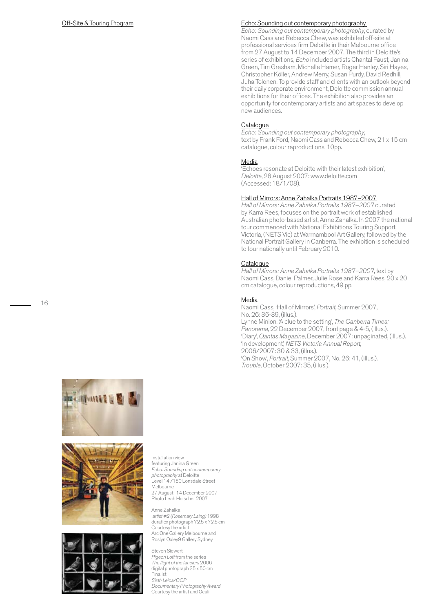### Echo: Sounding out contemporary photography

*Echo: Sounding out contemporary photography*, curated by Naomi Cass and Rebecca Chew, was exhibited off-site at professional services firm Deloitte in their Melbourne office from 27 August to 14 December 2007. The third in Deloitte's series of exhibitions, *Echo* included artists Chantal Faust, Janina Green, Tim Gresham, Michelle Hamer, Roger Hanley, Siri Hayes, Christopher Köller, Andrew Merry, Susan Purdy, David Redhill, Juha Tolonen. To provide staff and clients with an outlook beyond their daily corporate environment, Deloitte commission annual exhibitions for their offices. The exhibition also provides an opportunity for contemporary artists and art spaces to develop new audiences.

# **Catalogue**

*Echo: Sounding out contemporary photography*, text by Frank Ford, Naomi Cass and Rebecca Chew, 21 x 15 cm catalogue, colour reproductions, 10pp.

### Media

'Echoes resonate at Deloitte with their latest exhibition', *Deloitte*, 28 August 2007: www.deloitte.com (Accessed: 18/1/08).

### Hall of Mirrors: Anne Zahalka Portraits 1987–2007

*Hall of Mirrors: Anne Zahalka Portraits 1987–2007* curated by Karra Rees, focuses on the portrait work of established Australian photo-based artist, Anne Zahalka. In 2007 the national tour commenced with National Exhibitions Touring Support, Victoria, (NETS Vic) at Warrnambool Art Gallery, followed by the National Portrait Gallery in Canberra. The exhibition is scheduled to tour nationally until February 2010.

### **Catalogue**

*Hall of Mirrors: Anne Zahalka Portraits 1987–2007*, text by Naomi Cass, Daniel Palmer, Julie Rose and Karra Rees, 20 x 20 cm catalogue, colour reproductions, 49 pp.

### **Media**

Naomi Cass, 'Hall of Mirrors', *Portrait*, Summer 2007, No. 26: 36-39, (illus.). Lynne Minion, 'A clue to the setting', *The Canberra Times: Panorama*, 22 December 2007, front page & 4-5, (illus.). 'Diary', *Qantas Magazine*, December 2007: unpaginated, (illus.). 'In development', *NETS Victoria Annual Report*, 2006/2007: 30 & 33, (illus.). 'On Show', *Portrait*, Summer 2007, No. 26: 41, (illus.). *Trouble*, October 2007: 35, (illus.).







Installation view featuring Janina Green *Echo: Sounding out contemporary photography* at Deloitte Level 14 /180 Lonsdale Street Melbourne 27 August–14 December 2007 Photo Leah Holscher 2007

Anne Zahalka  *artist #2 (Rosemary Laing)* 1998 duraflex photograph 72.5 x 72.5 cm Courtesy the artist Arc One Gallery Melbourne and Roslyn Oxley9 Gallery Sydney

Steven Siewert *Pigeon Loft* from the series *The flight of the fanciers* 2006 digital photograph 35 x 50 cm Finalist

*Sixth Leica/CCP Documentary Photography Award* Courtesy the artist and Oculi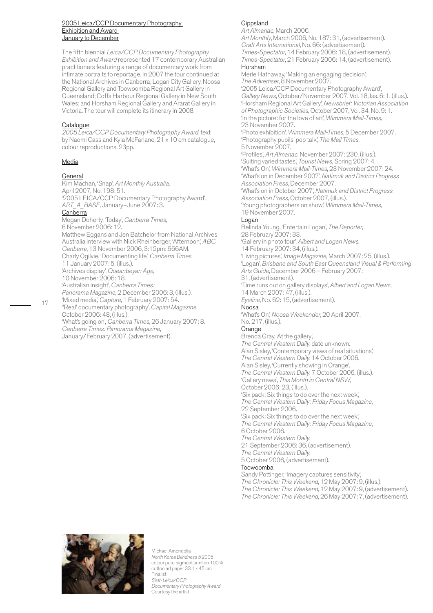#### 2005 Leica/CCP Documentary Photography Exhibition and Award January to December

The fifth biennial *Leica/CCP Documentary Photography Exhibition and Award* represented 17 contemporary Australian practitioners featuring a range of documentary work from intimate portraits to reportage. In 2007 the tour continued at the National Archives in Canberra; Logan City Gallery, Noosa Regional Gallery and Toowoomba Regional Art Gallery in Queensland; Coffs Harbour Regional Gallery in New South Wales; and Horsham Regional Gallery and Ararat Gallery in Victoria. The tour will complete its itinerary in 2008.

### **Catalogue**

*2005 Leica/CCP Documentary Photography Award*, text by Naomi Cass and Kyla McFarlane, 21 x 10 cm catalogue, colour reproductions, 23pp.

### Media

# **General**

17

Kim Machan, 'Snap', *Art Monthly Australia*, April 2007, No. 198: 51. '2005 LEICA/CCP Documentary Photography Award', *ART\_A\_BASE*, January–June 2007: 3. Canberra Megan Doherty, 'Today', *Canberra Times*, 6 November 2006: 12. Matthew Eggans and Jen Batchelor from National Archives Australia interview with Nick Rheinberger, 'Afternoon', *ABC Canberra*, 13 November 2006, 3:12pm: 666AM. Charly Ogilvie, 'Documenting life', *Canberra Times*, 11 January 2007: 5, (illus.). 'Archives display', *Queanbeyan Age*, 10 November 2006: 18. 'Australian insight', *Canberra Times: Panorama Magazine*, 2 December 2006: 3, (illus.). 'Mixed media', *Capture*, 1 February 2007: 54. ''Real' documentary photography', *Capital Magazine*, October 2006: 48, (illus.).

'What's going on', *Canberra Times*, 26 January 2007: 8. *Canberra Times: Panorama Magazine*, January/February 2007, (advertisement).

Gippsland *Art Almanac*, March 2006. *Art Monthly*, March 2006, No. 187: 31, (advertisement). *Craft Arts International*, No. 66: (advertisement). *Times-Spectator*, 14 February 2006: 18, (advertisement). *Times-Spectator*, 21 February 2006: 14, (advertisement). Horsham Merle Hathaway, 'Making an engaging decision', *The Advertiser*, 8 November 2007. '2005 Leica/CCP Documentary Photography Award', *Gallery News*, October/November 2007, Vol. 18, Iss. 6: 1, (illus.). 'Horsham Regional Art Gallery', *Newsbrief: Victorian Association of Photographic Societies*, October 2007, Vol. 34, No. 9: 1. 'In the picture: for the love of art', *Wimmera Mail-Times*, 23 November 2007. 'Photo exhibition', *Wimmera Mail-Times*, 5 December 2007. 'Photography pupils' pep talk', *The Mail Times*, 5 November 2007. 'Profiles', *Art Almanac*, November 2007: 230, (illus.). 'Suiting varied tastes', *Tourist News*, Spring 2007: 4. 'What's On', *Wimmera Mail-Times*, 23 November 2007: 24. 'What's on in December 2007', *Natimuk and District Progress Association Press*, December 2007. 'What's on in October 2007', *Natimuk and District Progress Association Press*, October 2007, (illus.). 'Young photographers on show', *Wimmera Mail-Times,* 19 November 2007. Logan Belinda Young, 'Entertain Logan', *The Reporter*, 28 February 2007: 33. 'Gallery in photo tour', *Albert and Logan News*, 14 February 2007: 34, (illus.). 'Living pictures', *Image Magazine*, March 2007: 25, (illus.). 'Logan', *Brisbane and South East Queensland Visual & Performing Arts Guide*, December 2006 – February 2007: 31, (advertisement). 'Time runs out on gallery displays', *Albert and Logan News*, 14 March 2007: 47, (illus.). *Eyeline*, No. 62: 15, (advertisement). Noosa 'What's On', *Noosa Weekender*, 20 April 2007, No. 217, (illus.). **Orange** Brenda Gray, 'At the gallery', *The Central Western Daily*, date unknown. Alan Sisley, 'Contemporary views of real situations', *The Central Western Daily*, 14 October 2006. Alan Sisley, 'Currently showing in Orange', *The Central Western Daily*, 7 October 2006, (illus.). 'Gallery news', *This Month in Central NSW*, October 2006: 23, (illus.). 'Six pack: Six things to do over the next week', *The Central Western Daily: Friday Focus Magazine*, 22 September 2006. 'Six pack: Six things to do over the next week', *The Central Western Daily: Friday Focus Magazine*, 6 October 2006. *The Central Western Daily*, 21 September 2006: 36, (advertisement). *The Central Western Daily*, 5 October 2006, (advertisement).

# Toowoomba

Sandy Pottinger, 'Imagery captures sensitivity', *The Chronicle: This Weekend*, 12 May 2007: 9, (illus.). *The Chronicle: This Weekend*, 12 May 2007: 9, (advertisement). *The Chronicle: This Weekend*, 26 May 2007: 7, (advertisement).



Michael Amendolia *North Korea Blindness 5* 2005 colour pure pigment print on 100% cotton art paper 33.1 x 45 cm Finalist *Sixth Leica/CCP Documentary Photography Award* Courtesy the artist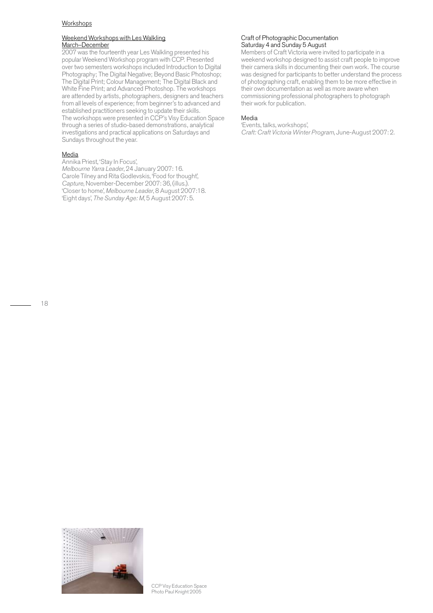### **Workshops**

### Weekend Workshops with Les Walkling March–December

2007 was the fourteenth year Les Walkling presented his popular Weekend Workshop program with CCP. Presented over two semesters workshops included Introduction to Digital Photography; The Digital Negative; Beyond Basic Photoshop; The Digital Print; Colour Management; The Digital Black and White Fine Print; and Advanced Photoshop. The workshops are attended by artists, photographers, designers and teachers from all levels of experience; from beginner's to advanced and established practitioners seeking to update their skills. The workshops were presented in CCP's Visy Education Space through a series of studio-based demonstrations, analytical investigations and practical applications on Saturdays and Sundays throughout the year.

### **Media**

Annika Priest, 'Stay In Focus', *Melbourne Yarra Leader*, 24 January 2007: 16. Carole Tilney and Rita Godlevskis, 'Food for thought', *Capture*, November-December 2007: 36, (illus.). 'Closer to home', *Melbourne Leader*, 8 August 2007:18. 'Eight days', *The Sunday Age: M*, 5 August 2007: 5.

### Craft of Photographic Documentation Saturday 4 and Sunday 5 August

Members of Craft Victoria were invited to participate in a weekend workshop designed to assist craft people to improve their camera skills in documenting their own work. The course was designed for participants to better understand the process of photographing craft, enabling them to be more effective in their own documentation as well as more aware when commissioning professional photographers to photograph their work for publication.

### Media

'Events, talks, workshops', *Craft: Craft Victoria Winter Program*, June-August 2007: 2.



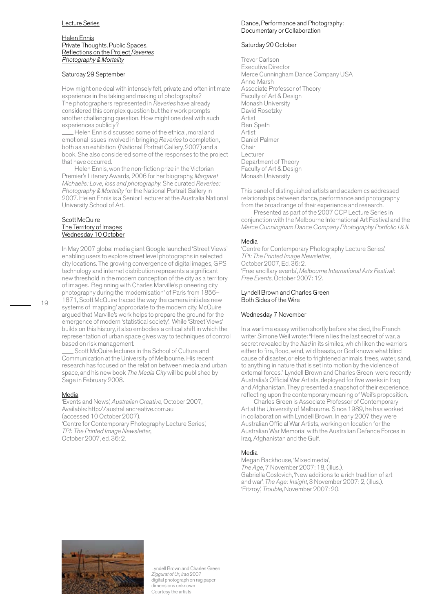#### Helen Ennis Private Thoughts, Public Spaces. Reflections on the Project *Reveries Photography & Mortality*

### Saturday 29 September

How might one deal with intensely felt, private and often intimate experience in the taking and making of photographs? The photographers represented in *Reveries* have already considered this complex question but their work prompts another challenging question. How might one deal with such experiences publicly?

 Helen Ennis discussed some of the ethical, moral and emotional issues involved in bringing *Reveries* to completion, both as an exhibition (National Portrait Gallery, 2007) and a book. She also considered some of the responses to the project that have occurred.

 Helen Ennis, won the non-fiction prize in the Victorian Premier's Literary Awards, 2006 for her biography, *Margaret Michaelis: Love, loss and photography*. She curated *Reveries: Photography & Mortality* for the National Portrait Gallery in 2007. Helen Ennis is a Senior Lecturer at the Australia National University School of Art.

### Scott McQuire The Territory of Images Wednesday 10 October

In May 2007 global media giant Google launched 'Street Views' enabling users to explore street level photographs in selected city locations. The growing convergence of digital images, GPS technology and internet distribution represents a significant new threshold in the modern conception of the city as a territory of images. Beginning with Charles Marville's pioneering city photography during the 'modernisation' of Paris from 1856–

1871, Scott McQuire traced the way the camera initiates new systems of 'mapping' appropriate to the modern city. McQuire argued that Marville's work helps to prepare the ground for the emergence of modern 'statistical society'. While 'Street Views' builds on this history, it also embodies a critical shift in which the representation of urban space gives way to techniques of control based on risk management.

 Scott McQuire lectures in the School of Culture and Communication at the University of Melbourne. His recent research has focused on the relation between media and urban space, and his new book *The Media City* will be published by Sage in February 2008.

### Media

'Events and News', *Australian Creative*, October 2007, Available: http://australiancreative.com.au (accessed 10 October 2007). 'Centre for Contemporary Photography Lecture Series', *TPI: The Printed Image Newsletter*, October 2007, ed. 36: 2.

### Dance, Performance and Photography: Documentary or Collaboration

### Saturday 20 October

Trevor Carlson Executive Director Merce Cunningham Dance Company USA Anne Marsh Associate Professor of Theory Faculty of Art & Design Monash University David Rosetzky Artist Ben Speth Artist Daniel Palmer Chair Lecturer Department of Theory Faculty of Art & Design Monash University

This panel of distinguished artists and academics addressed relationships between dance, performance and photography from the broad range of their experience and research.

 Presented as part of the 2007 CCP Lecture Series in conjunction with the Melbourne International Art Festival and the *Merce Cunningham Dance Company Photography Portfolio I & II*.

### Media

'Centre for Contemporary Photography Lecture Series', *TPI: The Printed Image Newsletter*, October 2007, Ed. 36: 2. 'Free ancillary events', *Melbourne International Arts Festival: Free Events*, October 2007: 12.

### Lyndell Brown and Charles Green Both Sides of the Wire

### Wednesday 7 November

In a wartime essay written shortly before she died, the French writer Simone Weil wrote: "Herein lies the last secret of war, a secret revealed by the *Iliad* in its similes, which liken the warriors either to fire, flood, wind, wild beasts, or God knows what blind cause of disaster, or else to frightened animals, trees, water, sand, to anything in nature that is set into motion by the violence of external forces." Lyndell Brown and Charles Green were recently Australia's Official War Artists, deployed for five weeks in Iraq and Afghanistan. They presented a snapshot of their experience, reflecting upon the contemporary meaning of Weil's proposition.

 Charles Green is Associate Professor of Contemporary Art at the University of Melbourne. Since 1989, he has worked in collaboration with Lyndell Brown. In early 2007 they were Australian Official War Artists, working on location for the Australian War Memorial with the Australian Defence Forces in Iraq, Afghanistan and the Gulf.

### Media

Megan Backhouse, 'Mixed media', *The Age*, 7 November 2007: 18, (illus.). Gabriella Coslovich, 'New additions to a rich tradition of art and war', *The Age: Insight*, 3 November 2007: 2, (illus.). 'Fitzroy', *Trouble*, November 2007: 20.



Lyndell Brown and Charles Green *Ziggurat of Ur, Iraq* 2007 digital photograph on rag paper dimensions unknown Courtesy the artists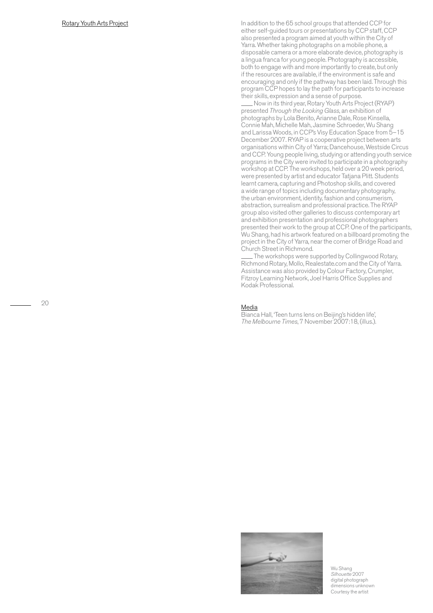Rotary Youth Arts Project **In addition** to the 65 school groups that attended CCP for either self-guided tours or presentations by CCP staff, CCP also presented a program aimed at youth within the City of Yarra. Whether taking photographs on a mobile phone, a disposable camera or a more elaborate device, photography is a lingua franca for young people. Photography is accessible, both to engage with and more importantly to create, but only if the resources are available, if the environment is safe and encouraging and only if the pathway has been laid. Through this program CCP hopes to lay the path for participants to increase their skills, expression and a sense of purpose.

> Now in its third year, Rotary Youth Arts Project (RYAP) presented *Through the Looking Glass*, an exhibition of photographs by Lola Benito, Arianne Dale, Rose Kinsella, Connie Mah, Michelle Mah, Jasmine Schroeder, Wu Shang and Larissa Woods, in CCP's Visy Education Space from 5–15 December 2007. RYAP is a cooperative project between arts organisations within City of Yarra; Dancehouse, Westside Circus and CCP. Young people living, studying or attending youth service programs in the City were invited to participate in a photography workshop at CCP. The workshops, held over a 20 week period, were presented by artist and educator Tatjana Plitt. Students learnt camera, capturing and Photoshop skills, and covered a wide range of topics including documentary photography, the urban environment, identity, fashion and consumerism, abstraction, surrealism and professional practice. The RYAP group also visited other galleries to discuss contemporary art and exhibition presentation and professional photographers presented their work to the group at CCP. One of the participants, Wu Shang, had his artwork featured on a billboard promoting the project in the City of Yarra, near the corner of Bridge Road and Church Street in Richmond.

 The workshops were supported by Collingwood Rotary, Richmond Rotary, Mollo, Realestate.com and the City of Yarra. Assistance was also provided by Colour Factory, Crumpler, Fitzroy Learning Network, Joel Harris Office Supplies and Kodak Professional.

### **Media**

Bianca Hall, 'Teen turns lens on Beijing's hidden life', *The Melbourne Times*, 7 November 2007:18, (illus.).



Wu Shang *Silhouette* 2007 digital photograph dimensions unknown Courtesy the artist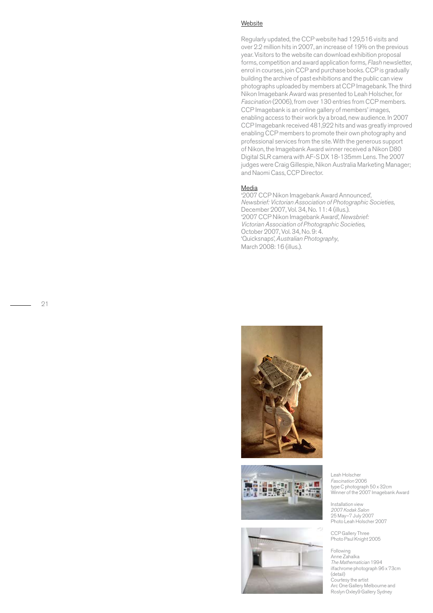# **Website**

Regularly updated, the CCP website had 129,516 visits and over 2.2 million hits in 2007, an increase of 19% on the previous year. Visitors to the website can download exhibition proposal forms, competition and award application forms, *Flash* newsletter, enrol in courses, join CCP and purchase books. CCP is gradually building the archive of past exhibitions and the public can view photographs uploaded by members at CCP Imagebank. The third Nikon Imagebank Award was presented to Leah Holscher, for *Fascination* (2006), from over 130 entries from CCP members. CCP Imagebank is an online gallery of members' images, enabling access to their work by a broad, new audience. In 2007 CCP Imagebank received 481,922 hits and was greatly improved enabling CCP members to promote their own photography and professional services from the site. With the generous support of Nikon, the Imagebank Award winner received a Nikon D80 Digital SLR camera with AF-S DX 18-135mm Lens. The 2007 judges were Craig Gillespie, Nikon Australia Marketing Manager; and Naomi Cass, CCP Director.

### Media

'2007 CCP Nikon Imagebank Award Announced', *Newsbrief: Victorian Association of Photographic Societies*, December 2007, Vol. 34, No. 11: 4 (illus.). '2007 CCP Nikon Imagebank Award', *Newsbrief: Victorian Association of Photographic Societies*, October 2007, Vol. 34, No. 9: 4. 'Quicksnaps', *Australian Photography*, March 2008: 16 (illus.).







Leah Holscher *Fascination* 2006 type C photograph 50 x 32cm Winner of the 2007 Imagebank Award

Installation view *2007 Kodak Salon* 25 May–7 July 2007 Photo Leah Holscher 2007

CCP Gallery Three Photo Paul Knight 2005

Following Anne Zahalka *The Mathematician* 1994 ilfachrome photograph 96 x 73cm (detail) Courtesy the artist Arc One Gallery Melbourne and Roslyn Oxley9 Gallery Sydney

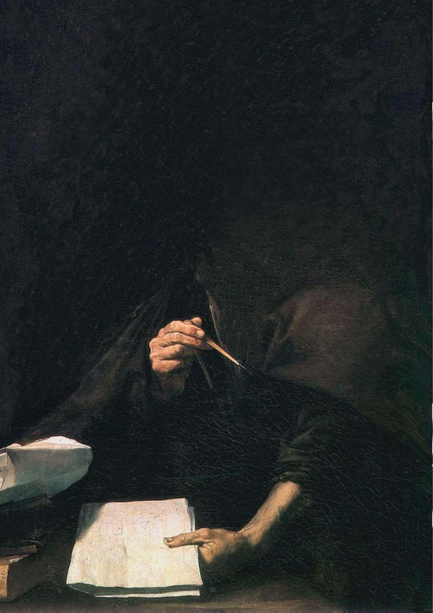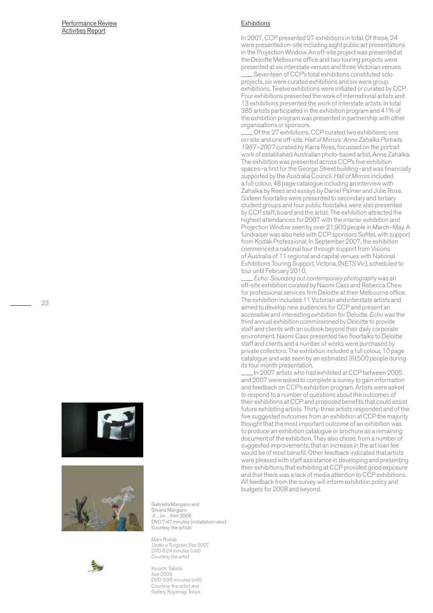In 2007, CCP presented 27 exhibitions in total. Of these, 24 were presented on-site including eight public art presentations in the Projection Window. An off-site project was presented at the Deloitte Melbourne office and two touring projects were presented at six interstate venues and three Victorian venues. Seventeen of CCP's total exhibitions constituted solo projects, six were curated exhibitions and six were group exhibitions. Twelve exhibitions were initiated or curated by CCP. Four exhibitions presented the work of international artists and 13 exhibitions presented the work of interstate artists. In total 385 artists participated in the exhibition program and 41% of the exhibition program was presented in partnership with other organisations or sponsors.

 Of the 27 exhibitions, CCP curated two exhibitions; one on-site and one off-site. *Hall of Mirrors: Anne Zahalka Portraits 1987–2007* curated by Karra Rees, focussed on the portrait work of established Australian photo-based artist, Anne Zahalka. The exhibition was presented across CCP's five exhibition spaces–a first for the George Street building–and was financially supported by the Australia Council. *Hall of Mirrors* included a full colour, 48 page catalogue including an interview with Zahalka by Rees and essays by Daniel Palmer and Julie Rose. Sixteen floortalks were presented to secondary and tertiary student groups and four public floortalks were also presented by CCP staff, board and the artist. The exhibition attracted the highest attendances for 2007 with the interior exhibition and Projection Window seen by over 21,900 people in March–May. A fundraiser was also held with CCP sponsors Sofitel, with support from Kodak Professional. In September 2007, the exhibition commenced a national tour through support from Visions of Australia of 11 regional and capital venues with National Exhibitions Touring Support, Victoria, (NETS Vic), scheduled to tour until February 2010.

 *Echo: Sounding out contemporary photography* was an off-site exhibition curated by Naomi Cass and Rebecca Chew for professional services firm Deloitte at their Melbourne office. The exhibition included 11 Victorian and interstate artists and aimed to develop new audiences for CCP and present an accessible and interesting exhibition for Deloitte. *Echo* was the third annual exhibition commissioned by Deloitte to provide staff and clients with an outlook beyond their daily corporate environment. Naomi Cass presented two floortalks to Deloitte staff and clients and a number of works were purchased by private collectors. The exhibition included a full colour, 10 page catalogue and was seen by an estimated 39,500 people during its four month presentation.

 In 2007 artists who had exhibited at CCP between 2005 and 2007 were asked to complete a survey to gain information and feedback on CCP's exhibition program. Artists were asked to respond to a number of questions about the outcomes of their exhibitions at CCP and proposed benefits that could assist future exhibiting artists. Thirty-three artists responded and of the five suggested outcomes from an exhibition at CCP the majority thought that the most important outcome of an exhibition was to produce an exhibition catalogue or brochure as a remaining document of the exhibition. They also chose, from a number of suggested improvements, that an increase in the art loan fee would be of most benefit. Other feedback indicated that artists were pleased with staff assistance in developing and presenting their exhibitions, that exhibiting at CCP provided good exposure and that there was a lack of media attention to CCP exhibitions. All feedback from the survey will inform exhibition policy and budgets for 2008 and beyond.





Gabriella Mangano and Silvana Mangano  *if…so…then* 2006 DVD 7:47 minutes (installation view) Courtesy the artists

Mark Rodda *Under a Tungsten Star* 2007 DVD 8:24 minutes (still) Courtesy the artist

Kouichi Tabata *bee* 2006 DVD 0:26 minutes (still) Courtesy the artist and Gallery Koyanagi Tokyo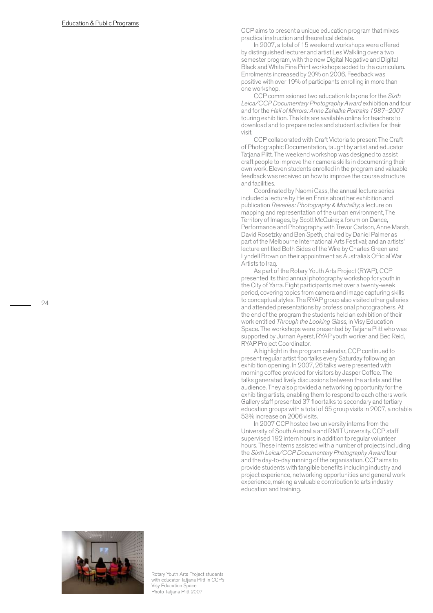CCP aims to present a unique education program that mixes practical instruction and theoretical debate.

 In 2007, a total of 15 weekend workshops were offered by distinguished lecturer and artist Les Walkling over a two semester program, with the new Digital Negative and Digital Black and White Fine Print workshops added to the curriculum. Enrolments increased by 20% on 2006. Feedback was positive with over 19% of participants enrolling in more than one workshop.

 CCP commissioned two education kits; one for the *Sixth Leica/CCP Documentary Photography Award* exhibition and tour and for the *Hall of Mirrors: Anne Zahalka Portraits 1987–2007* touring exhibition. The kits are available online for teachers to download and to prepare notes and student activities for their visit.

 CCP collaborated with Craft Victoria to present The Craft of Photographic Documentation, taught by artist and educator Tatjana Plitt. The weekend workshop was designed to assist craft people to improve their camera skills in documenting their own work. Eleven students enrolled in the program and valuable feedback was received on how to improve the course structure and facilities.

 Coordinated by Naomi Cass, the annual lecture series included a lecture by Helen Ennis about her exhibition and publication *Reveries: Photography & Mortality*; a lecture on mapping and representation of the urban environment, The Territory of Images, by Scott McQuire; a forum on Dance, Performance and Photography with Trevor Carlson, Anne Marsh, David Rosetzky and Ben Speth, chaired by Daniel Palmer as part of the Melbourne International Arts Festival; and an artists' lecture entitled Both Sides of the Wire by Charles Green and Lyndell Brown on their appointment as Australia's Official War Artists to Iraq.

 As part of the Rotary Youth Arts Project (RYAP), CCP presented its third annual photography workshop for youth in the City of Yarra. Eight participants met over a twenty-week period, covering topics from camera and image capturing skills to conceptual styles. The RYAP group also visited other galleries and attended presentations by professional photographers. At the end of the program the students held an exhibition of their work entitled *Through the Looking Glass*, in Visy Education Space. The workshops were presented by Tatjana Plitt who was supported by Jurnan Ayerst, RYAP youth worker and Bec Reid, RYAP Project Coordinator.

 A highlight in the program calendar, CCP continued to present regular artist floortalks every Saturday following an exhibition opening. In 2007, 26 talks were presented with morning coffee provided for visitors by Jasper Coffee. The talks generated lively discussions between the artists and the audience. They also provided a networking opportunity for the exhibiting artists, enabling them to respond to each others work. Gallery staff presented 37 floortalks to secondary and tertiary education groups with a total of 65 group visits in 2007, a notable 53% increase on 2006 visits.

 In 2007 CCP hosted two university interns from the University of South Australia and RMIT University. CCP staff supervised 192 intern hours in addition to regular volunteer hours. These interns assisted with a number of projects including the *Sixth Leica/CCP Documentary Photography Award* tour and the day-to-day running of the organisation. CCP aims to provide students with tangible benefits including industry and project experience, networking opportunities and general work experience, making a valuable contribution to arts industry education and training.



Rotary Youth Arts Project students with educator Tatjana Plitt in CCP's Visy Education Space Photo Tatjana Plitt 2007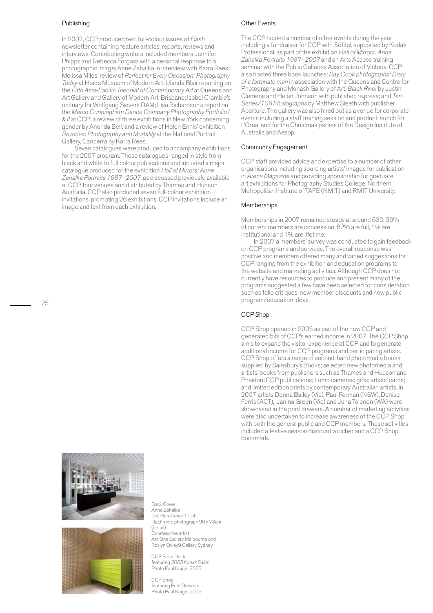### Publishing

In 2007, CCP produced two, full-colour issues of *Flash*  newsletter containing feature articles, reports, reviews and interviews. Contributing writers included members Jennifer Phipps and Rebecca Forgasz with a personal response to a photographic image; Anne Zahalka in interview with Karra Rees; Melissa Miles' review of *Perfect for Every Occasion: Photography Today* at Heide Museum of Modern Art; Ulanda Blair reporting on the *Fifth Asia-Pacific Triennial of Contemporary Art* at Queensland Art Gallery and Gallery of Modern Art, Brisbane; Isobel Crombie's obituary for Wolfgang Sievers OAM; Lisa Richardson's report on the *Merce Cunningham Dance Company Photography Portfolio I & II* at CCP; a review of three exhibitions in New York concerning gender by Anonda Bell; and a review of Helen Ennis' exhibition *Reveries: Photography and Mortality* at the National Portrait Gallery, Canberra by Karra Rees.

 Seven catalogues were produced to accompany exhibitions for the 2007 program. These catalogues ranged in style from black and white to full colour publications and included a major catalogue produced for the exhibition *Hall of Mirrors: Anne Zahalka Portraits 1987–2007*, as discussed previously, available at CCP, tour venues and distributed by Thames and Hudson Australia. CCP also produced seven full-colour exhibition invitations, promoting 26 exhibitions. CCP invitations include an image and text from each exhibition.

### $25$





Back Cover Anne Zahalka *The Gentleman* 1994 ilfachrome photograph 96 x 73cm (detail) Courtesy the artist Arc One Gallery Melbourne and Roslyn Oxley9 Gallery Sydney

CCP Front Desk featuring *2005 Kodak Salon* Photo Paul Knight 2005

CCP Shop featuring Print Drawers Photo Paul Knight 2005

### Other Events

The CCP hosted a number of other events during the year including a fundraiser for CCP with Sofitel, supported by Kodak Professional, as part of the exhibition *Hall of Mirrors: Anne Zahalka Portraits 1987–2007* and an Arts Access training seminar with the Public Galleries Association of Victoria. CCP also hosted three book launches: *Ray Cook photographs: Diary of a fortunate man* in association with the Queensland Centre for Photography and Monash Gallery of Art; *Black River* by Justin Clemens and Helen Johnson with publisher, re.press; and *Ten Series/106 Photographs* by Matthew Sleeth with publisher Aperture. The gallery was also hired out as a venue for corporate events including a staff training session and product launch for L'Oreal and for the Christmas parties of the Design Institute of Australia and Aesop.

### Community Engagement

CCP staff provided advice and expertise to a number of other organisations including sourcing artists' images for publication in *Arena Magazine* and providing sponsorship for graduate art exhibitions for Photography Studies College, Northern Metropolitan Institute of TAFE (NMIT) and RMIT University.

### Memberships

Memberships in 2007 remained steady at around 630. 36% of current members are concession, 62% are full, 1% are institutional and 1% are lifetime.

 In 2007 a members' survey was conducted to gain feedback on CCP programs and services. The overall response was positive and members offered many and varied suggestions for CCP ranging from the exhibition and education programs to the website and marketing activities. Although CCP does not currently have resources to produce and present many of the programs suggested a few have been selected for consideration such as folio critiques, new member discounts and new public program/education ideas.

### CCP Shop

CCP Shop opened in 2005 as part of the new CCP and generated 5% of CCP's earned income in 2007. The CCP Shop aims to expand the visitor experience at CCP and to generate additional income for CCP programs and participating artists. CCP Shop offers a range of second-hand photomedia books supplied by Sainsbury's Books; selected new photomedia and artists' books from publishers such as Thames and Hudson and Phaidon; CCP publications; Lomo cameras; gifts; artists' cards; and limited edition prints by contemporary Australian artists. In 2007 artists Donna Bailey (Vic), Paul Ferman (NSW), Denise Ferris (ACT), Janina Green (Vic) and Juha Tolonen (WA) were showcased in the print drawers. A number of marketing activities were also undertaken to increase awareness of the CCP Shop with both the general public and CCP members. These activities included a festive season discount voucher and a CCP Shop bookmark.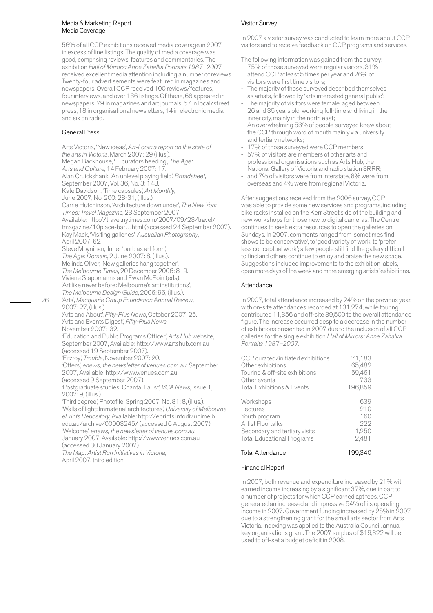#### Media & Marketing Report Media Coverage

56% of all CCP exhibitions received media coverage in 2007 in excess of line listings. The quality of media coverage was good, comprising reviews, features and commentaries. The exhibition *Hall of Mirrors: Anne Zahalka Portraits 1987–2007* received excellent media attention including a number of reviews. Twenty-four advertisements were featured in magazines and newspapers. Overall CCP received 100 reviews/features, four interviews, and over 136 listings. Of these, 68 appeared in newspapers, 79 in magazines and art journals, 57 in local/street press, 18 in organisational newsletters, 14 in electronic media and six on radio.

# General Press

26

Arts Victoria, 'New ideas', *Art-Look: a report on the state of the arts in Victoria*, March 2007: 29 (illus.). Megan Backhouse, '…curators heeding', *The Age: Arts and Culture*, 14 February 2007: 17. Alan Cruickshank, 'An unlevel playing field', *Broadsheet*, September 2007, Vol. 36, No. 3: 148. Kate Davidson, 'Time capsules', *Art Monthly*, June 2007, No. 200: 28-31, (illus.). Carrie Hutchinson, 'Architecture down under', *The New York Times: Travel Magazine*, 23 September 2007, Available: http://travel.nytimes.com/2007/09/23/travel/ tmagazine/10place-bar…html (accessed 24 September 2007). Kay Mack, 'Visiting galleries', *Australian Photography*, April 2007: 62. Steve Moynihan, 'Inner 'burb as art form', *The Age: Domain*, 2 June 2007: 8, (illus.). Melinda Oliver, 'New galleries hang together', *The Melbourne Times*, 20 December 2006: 8–9. Viviane Stappmanns and Ewan McEoin (eds), 'Art like never before: Melbourne's art institutions', *The Melbourne Design Guide*, 2006: 96, (illus.). 'Arts', *Macquarie Group Foundation Annual Review*, 2007: 27, (illus.). 'Arts and About', *Fifty-Plus News*, October 2007: 25. 'Arts and Events Digest', *Fifty-Plus News*, November 2007: 32. 'Education and Public Programs Officer', *Arts Hub* website, September 2007, Available: http://www.artshub.com.au (accessed 19 September 2007). 'Fitzroy', *Trouble*, November 2007: 20. 'Offers', *enews, the newsletter of venues.com.au*, September 2007, Available: http://www.venues.com.au (accessed 9 September 2007). 'Postgraduate studies: Chantal Faust', *VCA News*, Issue 1, 2007: 9, (illus.). 'Third degree', Photofile, Spring 2007, No. 81: 8, (illus.). 'Walls of light: Immaterial architectures', *University of Melbourne ePrints Repository*, Available: http://eprints.infodiv.unimelb. edu.au/archive/00003245/ (accessed 6 August 2007). 'Welcome', *enews, the newsletter of venues.com.au*, January 2007, Available: http://www.venues.com.au (accessed 30 January 2007). *The Map: Artist Run Initiatives in Victoria*, April 2007, third edition.

# Visitor Survey

In 2007 a visitor survey was conducted to learn more about CCP visitors and to receive feedback on CCP programs and services.

The following information was gained from the survey:

- 75% of those surveyed were regular visitors, 31% attend CCP at least 5 times per year and 26% of visitors were first time visitors;
- The majority of those surveyed described themselves as artists, followed by 'arts interested general public';
- The majority of visitors were female, aged between 26 and 35 years old, working full-time and living in the inner city, mainly in the north east;
- An overwhelming 53% of people surveyed knew about the CCP through word of mouth mainly via university and tertiary networks;
- 17% of those surveyed were CCP members; - 57% of visitors are members of other arts and professional organisations such as Arts Hub, the
- National Gallery of Victoria and radio station 3RRR; - and 7% of visitors were from interstate, 8% were from
- overseas and 4% were from regional Victoria.

After suggestions received from the 2006 survey, CCP was able to provide some new services and programs, including bike racks installed on the Kerr Street side of the building and new workshops for those new to digital cameras. The Centre continues to seek extra resources to open the galleries on Sundays. In 2007, comments ranged from 'sometimes find shows to be conservative', to 'good variety of work' to 'prefer less conceptual work'; a few people still find the gallery difficult to find and others continue to enjoy and praise the new space. Suggestions included improvements to the exhibition labels, open more days of the week and more emerging artists' exhibitions.

### Attendance

In 2007, total attendance increased by 24% on the previous year, with on-site attendances recorded at 131,274, while touring contributed 11,356 and off-site 39,500 to the overall attendance figure. The increase occurred despite a decrease in the number of exhibitions presented in 2007 due to the inclusion of all CCP galleries for the single exhibition *Hall of Mirrors: Anne Zahalka Portraits 1987–2007*.

| CCP curated/initiated exhibitions     | 71,183  |
|---------------------------------------|---------|
| Other exhibitions                     | 65,482  |
| Touring & off-site exhibitions        | 59,461  |
| Other events                          | 733     |
| <b>Total Exhibitions &amp; Events</b> | 196,859 |
| Workshops                             | 639     |
| Lectures                              | 210     |
| Youth program                         | 160     |
| Artist Floortalks                     | 222     |
| Secondary and tertiary visits         | 1,250   |
| <b>Total Educational Programs</b>     | 2,481   |
| Total Attendance                      | 199,340 |

### Financial Report

In 2007, both revenue and expenditure increased by 21% with earned income increasing by a significant 37%, due in part to a number of projects for which CCP earned apt fees. CCP generated an increased and impressive 54% of its operating income in 2007. Government funding increased by 25% in 2007 due to a strengthening grant for the small arts sector from Arts Victoria. Indexing was applied to the Australia Council, annual key organisations grant. The 2007 surplus of \$19,322 will be used to off-set a budget deficit in 2008.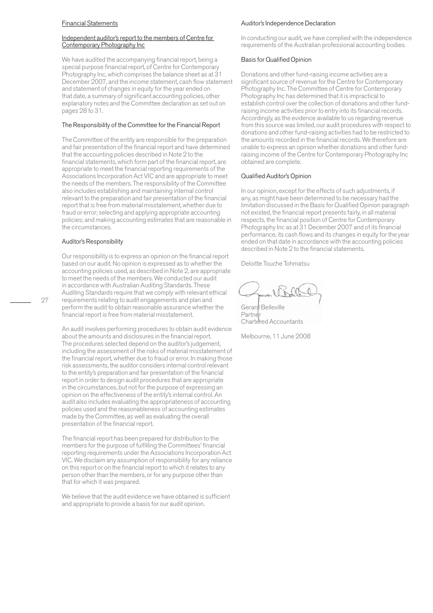### Financial Statements

### Independent auditor's report to the members of Centre for Contemporary Photography Inc

We have audited the accompanying financial report, being a special purpose financial report, of Centre for Contemporary Photography Inc, which comprises the balance sheet as at 31 December 2007, and the income statement, cash flow statement and statement of changes in equity for the year ended on that date, a summary of significant accounting policies, other explanatory notes and the Committee declaration as set out on pages 28 to 31.

#### The Responsibility of the Committee for the Financial Report

The Committee of the entity are responsible for the preparation and fair presentation of the financial report and have determined that the accounting policies described in Note 2 to the financial statements, which form part of the financial report, are appropriate to meet the financial reporting requirements of the Associations Incorporation Act VIC and are appropriate to meet the needs of the members. The responsibility of the Committee also includes establishing and maintaining internal control relevant to the preparation and fair presentation of the financial report that is free from material misstatement, whether due to fraud or error; selecting and applying appropriate accounting policies; and making accounting estimates that are reasonable in the circumstances.

### Auditor's Responsibility

Our responsibility is to express an opinion on the financial report based on our audit. No opinion is expressed as to whether the accounting policies used, as described in Note 2, are appropriate to meet the needs of the members. We conducted our audit in accordance with Australian Auditing Standards. These Auditing Standards require that we comply with relevant ethical requirements relating to audit engagements and plan and perform the audit to obtain reasonable assurance whether the financial report is free from material misstatement.

An audit involves performing procedures to obtain audit evidence about the amounts and disclosures in the financial report. The procedures selected depend on the auditor's judgement, including the assessment of the risks of material misstatement of the financial report, whether due to fraud or error. In making those risk assessments, the auditor considers internal control relevant to the entity's preparation and fair presentation of the financial report in order to design audit procedures that are appropriate in the circumstances, but not for the purpose of expressing an opinion on the effectiveness of the entity's internal control. An audit also includes evaluating the appropriateness of accounting policies used and the reasonableness of accounting estimates made by the Committee, as well as evaluating the overall presentation of the financial report.

The financial report has been prepared for distribution to the members for the purpose of fulfilling the Committees' financial reporting requirements under the Associations Incorporation Act VIC. We disclaim any assumption of responsibility for any reliance on this report or on the financial report to which it relates to any person other than the members, or for any purpose other than that for which it was prepared.

We believe that the audit evidence we have obtained is sufficient and appropriate to provide a basis for our audit opinion.

#### Auditor's Independence Declaration

In conducting our audit, we have complied with the independence requirements of the Australian professional accounting bodies.

### Basis for Qualified Opinion

Donations and other fund-raising income activities are a significant source of revenue for the Centre for Contemporary Photography Inc. The Committee of Centre for Contemporary Photography Inc has determined that it is impractical to establish control over the collection of donations and other fundraising income activities prior to entry into its financial records. Accordingly, as the evidence available to us regarding revenue from this source was limited, our audit procedures with respect to donations and other fund-raising activities had to be restricted to the amounts recorded in the financial records. We therefore are unable to express an opinion whether donations and other fundraising income of the Centre for Contemporary Photography Inc obtained are complete.

### Qualified Auditor's Opinion

In our opinion, except for the effects of such adjustments, if any, as might have been determined to be necessary had the limitation discussed in the Basis for Qualified Opinion paragraph not existed, the financial report presents fairly, in all material respects, the financial position of Centre for Contemporary Photography Inc as at 31 December 2007 and of its financial performance, its cash flows and its changes in equity for the year ended on that date in accordance with the accounting policies described in Note 2 to the financial statements.

Deloitte Touche Tohmatsu

Gerard Belleville

Partner Chartered Accountants

Melbourne, 11 June 2008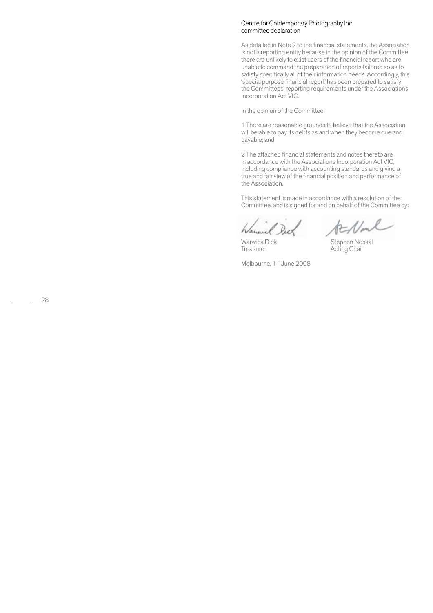#### Centre for Contemporary Photography Inc committee declaration

As detailed in Note 2 to the financial statements, the Association is not a reporting entity because in the opinion of the Committee there are unlikely to exist users of the financial report who are unable to command the preparation of reports tailored so as to satisfy specifically all of their information needs. Accordingly, this 'special purpose financial report' has been prepared to satisfy the Committees' reporting requirements under the Associations Incorporation Act VIC.

In the opinion of the Committee:

1 There are reasonable grounds to believe that the Association will be able to pay its debts as and when they become due and payable; and

2 The attached financial statements and notes thereto are in accordance with the Associations Incorporation Act VIC, including compliance with accounting standards and giving a true and fair view of the financial position and performance of the Association.

This statement is made in accordance with a resolution of the Committee, and is signed for and on behalf of the Committee by:

Way

Alme

Treasurer **Acting Chair** 

Warwick Dick Stephen Nossal

Melbourne, 11 June 2008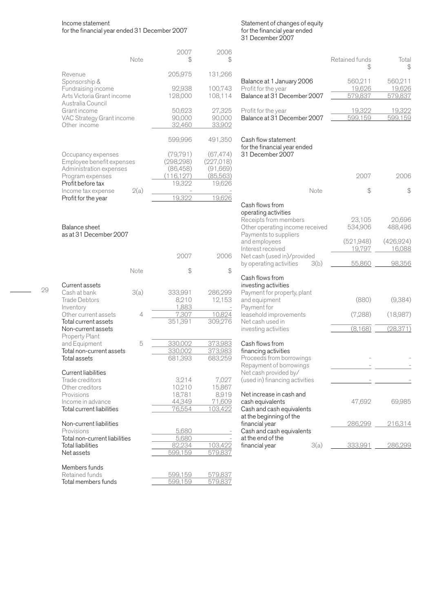### Income statement for the financial year ended 31 December 2007

| Note                                                                                                                | 2007<br>\$                                                   | 2006<br>\$                                                |
|---------------------------------------------------------------------------------------------------------------------|--------------------------------------------------------------|-----------------------------------------------------------|
| Revenue<br>Sponsorship &                                                                                            | 205,975                                                      | 131,266                                                   |
| Fundraising income<br>Arts Victoria Grant income<br>Australia Council                                               | 92,938<br>128,000                                            | 100,743<br>108,114                                        |
| Grant income                                                                                                        | 50,623                                                       | 27,325                                                    |
| VAC Strategy Grant income                                                                                           | 90,000                                                       | 90,000                                                    |
| Other income                                                                                                        | 32,460                                                       | 33,902                                                    |
|                                                                                                                     | 599,996                                                      | 491,350                                                   |
| Occupancy expenses<br>Employee benefit expenses<br>Administration expenses<br>Program expenses<br>Profit before tax | (79, 791)<br>(298, 298)<br>(86, 458)<br>(116, 127)<br>19,322 | (67, 474)<br>(227, 018)<br>(91,669)<br>(85,563)<br>19,626 |
| 2(a)<br>Income tax expense<br>Profit for the year                                                                   | 19,322                                                       | 19,626                                                    |
| Balance sheet<br>as at 31 December 2007                                                                             |                                                              |                                                           |

2007 2006 Note  $\qquad \qquad$  \$ \$ Current assets Cash at bank 3(a) 333,991 286,299<br>Trade Debtors 8,210 12,153 Trade Debtors 8,210<br>
Inventory 1,883 Inventory<br>
Other current assets  $\begin{array}{r} 4 \end{array}$   $\begin{array}{r} 1,883 \ \hline 7,307 \end{array}$   $\begin{array}{r} 10,824 \end{array}$ Other current assets 4 7,307 10,824<br>Total current assets 351,391 309,276 Total current assets Non-current assets Property Plant and Equipment 5 330,002 373,983<br> **Total non-current assets** 330,002 373,983 Total non-current assets  $\frac{330,002}{681,393}$  373,983 Total assets Current liabilities Trade creditors 3,214 7,027<br>Other creditors 10,210 15,867 Other creditors 10,210 15,867<br>Provisions 18,781 8,919 Provisions 18,781 8,919<br>
Income in advance 44,349 71,609 Income in advance  $\frac{44,349}{71,609}$ <br>Total current liabilities  $\frac{44,349}{76,554}$   $\frac{71,609}{103,422}$ Total current liabilities Non-current liabilities Provisions 5,680 Total non-current liabilities  $\frac{5,680}{82,234}$  103,422<br>
Net assets 599,159 579,837 Total liabilities Net assets Members funds Retained funds<br>
Total members funds<br>
Total members funds<br>
Total members funds<br>
Total members funds<br>
Total members funds<br>
Total members funds<br>
Total members funds<br>
Total members funds<br>
Total members funds<br>
Total members fun

Total members funds

Statement of changes of equity for the financial year ended 31 December 2007

|                                                                                                                                                                              | Retained funds<br>\$                      | Total<br>\$                               |
|------------------------------------------------------------------------------------------------------------------------------------------------------------------------------|-------------------------------------------|-------------------------------------------|
| Balance at 1 January 2006<br>Profit for the year<br>Balance at 31 December 2007                                                                                              | 560,211<br>19,626<br>579,837              | 560,211<br>19,626<br>579,837              |
| Profit for the year<br>Balance at 31 December 2007                                                                                                                           | <u> 19,322</u><br><u>599,159</u>          | <u> 19,322</u><br><u>599,159</u>          |
| Cash flow statement<br>for the financial year ended<br>31 December 2007                                                                                                      |                                           |                                           |
|                                                                                                                                                                              | 2007                                      | 2006                                      |
| Note                                                                                                                                                                         | \$                                        | \$                                        |
| Cash flows from<br>operating activities<br>Receipts from members<br>Other operating income received<br>Payments to suppliers<br>and employees<br>Interest received           | 23,105<br>534,906<br>(521, 948)<br>19,797 | 20,696<br>488,496<br>(426, 924)<br>16,088 |
| Net cash (used in)/provided<br>by operating activities<br>3(b)                                                                                                               | 55,860                                    | 98,356                                    |
| Cash flows from<br>investing activities<br>Payment for property, plant<br>and equipment<br>Payment for<br>leasehold improvements<br>Net cash used in<br>investing activities | (880)<br>(7,288)<br>(8,168)               | (9,384)<br>(18,987)<br>(28, 371)          |
| Cash flows from<br>financing activities<br>Proceeds from borrowings<br>Repayment of borrowings<br>Net cash provided by/<br>(used in) financing activities                    |                                           |                                           |
| Net increase in cash and<br>cash equivalents<br>Cash and cash equivalents                                                                                                    | 47,692                                    | 69,985                                    |
| at the beginning of the<br>financial year<br>Cash and cash equivalents                                                                                                       | 286,299                                   | <u> 216,314</u>                           |
| at the end of the<br>3(a)<br>financial year                                                                                                                                  | 333,991                                   | 286,299                                   |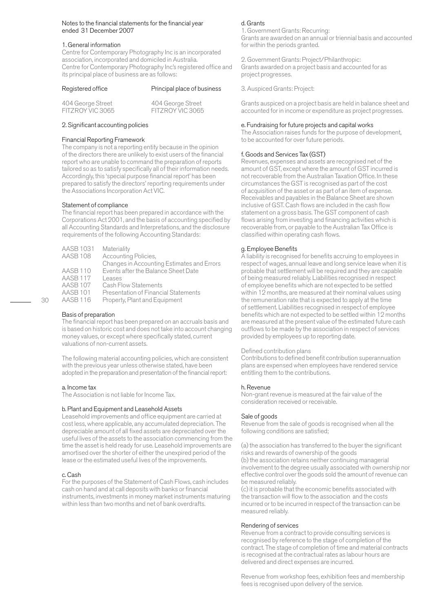### Notes to the financial statements for the financial year ended 31 December 2007

### 1. General information

Centre for Contemporary Photography Inc is an incorporated association, incorporated and domiciled in Australia. Centre for Contemporary Photography Inc's registered office and its principal place of business are as follows:

| Registered office | Principal place of business |
|-------------------|-----------------------------|
| 404 George Street | 404 George Street           |
| FITZROY VIC 3065  | FITZROY VIC 3065            |

# 2. Significant accounting policies

### Financial Reporting Framework

The company is not a reporting entity because in the opinion of the directors there are unlikely to exist users of the financial report who are unable to command the preparation of reports tailored so as to satisfy specifically all of their information needs. Accordingly, this 'special purpose financial report' has been prepared to satisfy the directors' reporting requirements under the Associations Incorporation Act VIC.

### Statement of compliance

The financial report has been prepared in accordance with the Corporations Act 2001, and the basis of accounting specified by all Accounting Standards and Interpretations, and the disclosure requirements of the following Accounting Standards:

| AASB 1031           | Materiality                                |
|---------------------|--------------------------------------------|
| AASB <sub>108</sub> | Accounting Policies,                       |
|                     | Changes in Accounting Estimates and Errors |
| <b>AASB110</b>      | Events after the Balance Sheet Date        |
| AASB <sub>117</sub> | Leases                                     |
| AASB <sub>107</sub> | Cash Flow Statements                       |
| <b>AASB 101</b>     | Presentation of Financial Statements       |
| <b>AASB116</b>      | Property, Plant and Equipment              |
|                     |                                            |

### Basis of preparation

The financial report has been prepared on an accruals basis and is based on historic cost and does not take into account changing money values, or except where specifically stated, current valuations of non-current assets.

The following material accounting policies, which are consistent with the previous year unless otherwise stated, have been adopted in the preparation and presentation of the financial report:

#### a. Income tax

The Association is not liable for Income Tax.

### b. Plant and Equipment and Leasehold Assets

Leasehold improvements and office equipment are carried at cost less, where applicable, any accumulated depreciation. The depreciable amount of all fixed assets are depreciated over the useful lives of the assets to the association commencing from the time the asset is held ready for use. Leasehold improvements are amortised over the shorter of either the unexpired period of the lease or the estimated useful lives of the improvements.

#### c. Cash

For the purposes of the Statement of Cash Flows, cash includes cash on hand and at call deposits with banks or financial instruments, investments in money market instruments maturing within less than two months and net of bank overdrafts.

### d. Grants

1. Government Grants: Recurring: Grants are awarded on an annual or triennial basis and accounted for within the periods granted.

2. Government Grants: Project/Philanthropic: Grants awarded on a project basis and accounted for as project progresses.

3. Auspiced Grants: Project:

Grants auspiced on a project basis are held in balance sheet and accounted for in income or expenditure as project progresses.

### e. Fundraising for future projects and capital works

The Association raises funds for the purpose of development, to be accounted for over future periods.

### f. Goods and Services Tax (GST)

Revenues, expenses and assets are recognised net of the amount of GST, except where the amount of GST incurred is not recoverable from the Australian Taxation Office. In these circumstances the GST is recognised as part of the cost of acquisition of the asset or as part of an item of expense. Receivables and payables in the Balance Sheet are shown inclusive of GST. Cash flows are included in the cash flow statement on a gross basis. The GST component of cash flows arising from investing and financing activities which is recoverable from, or payable to the Australian Tax Office is classified within operating cash flows.

### g. Employee Benefits

A liability is recognised for benefits accruing to employees in respect of wages, annual leave and long service leave when it is probable that settlement will be required and they are capable of being measured reliably. Liabilities recognised in respect of employee benefits which are not expected to be settled within 12 months, are measured at their nominal values using the remuneration rate that is expected to apply at the time of settlement. Liabilities recognised in respect of employee benefits which are not expected to be settled within 12 months are measured at the present value of the estimated future cash outflows to be made by the association in respect of services provided by employees up to reporting date.

#### Defined contribution plans

Contributions to defined benefit contribution superannuation plans are expensed when employees have rendered service entitling them to the contributions.

### h. Revenue

Non-grant revenue is measured at the fair value of the consideration received or receivable.

### Sale of goods

Revenue from the sale of goods is recognised when all the following conditions are satisfied;

(a) the association has transferred to the buyer the significant risks and rewards of ownership of the goods (b) the association retains neither continuing managerial involvement to the degree usually associated with ownership nor effective control over the goods sold the amount of revenue can be measured reliably.

(c) it is probable that the economic benefits associated with the transaction will flow to the association and the costs incurred or to be incurred in respect of the transaction can be measured reliably.

### Rendering of services

Revenue from a contract to provide consulting services is recognised by reference to the stage of completion of the contract. The stage of completion of time and material contracts is recognised at the contractual rates as labour hours are delivered and direct expenses are incurred.

Revenue from workshop fees, exhibition fees and membership fees is recognised upon delivery of the service.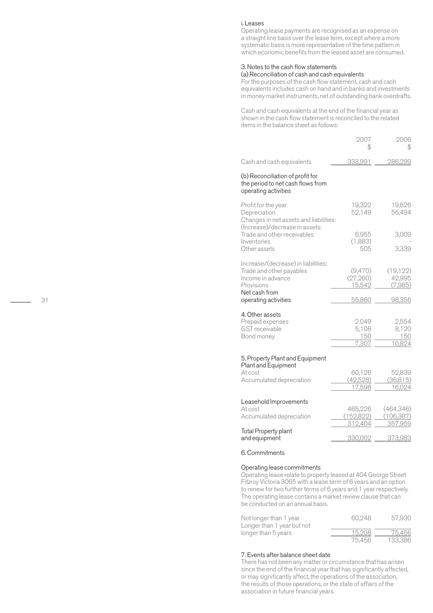#### i. Leases

Operating lease payments are recognised as an expense on a straight line basis over the lease term, except where a more systematic basis is more representative of the time pattern in which economic benefits from the leased asset are consumed.

### 3. Notes to the cash flow statements

### (a) Reconciliation of cash and cash equivalents

For the purposes of the cash flow statement, cash and cash equivalents includes cash on hand and in banks and investments in money market instruments, net of outstanding bank overdrafts.

Cash and cash equivalents at the end of the financial year as shown in the cash flow statement is reconciled to the related items in the balance sheet as follows:

|                                                                                                                 | 2007<br>\$                     | 2006<br>\$                      |
|-----------------------------------------------------------------------------------------------------------------|--------------------------------|---------------------------------|
| Cash and cash equivalents                                                                                       | 333,991                        | 286,299                         |
| (b) Reconciliation of profit for<br>the period to net cash flows from<br>operating activities                   |                                |                                 |
| Profit for the year<br>Depreciation<br>Changes in net assets and liabilities:<br>(Increase)/decrease in assets: | 19,322<br>52,149               | 19,626<br>56,494                |
| Trade and other receivables                                                                                     | 6,955                          | 3,009                           |
| Inventories                                                                                                     | (1,883)                        |                                 |
| Other assets                                                                                                    | 505                            | 3,339                           |
| Increase/(decrease) in liabilities:<br>Trade and other payables<br>Income in advance<br>Provisions              | (9,470)<br>(27, 260)<br>15,542 | (19, 122)<br>42,995<br>(7,985)  |
| Net cash from<br>operating activities                                                                           | 55,860                         | 98,356                          |
| 4. Other assets<br>Prepaid expenses<br>GST receivable<br>Bond money                                             | 2.049<br>5,108<br>150<br>7,307 | 2,554<br>8,120<br>150<br>10,824 |
| 5. Property Plant and Equipment<br>Plant and Equipment                                                          |                                |                                 |
| At cost                                                                                                         | 60,126                         | 52,839                          |
| Accumulated depreciation                                                                                        | (42,528)<br>17,598             | (36,815)<br>16,024              |
| Leasehold Improvements                                                                                          |                                |                                 |
| At cost                                                                                                         | 465,226                        | (464, 346)                      |
| Accumulated depreciation                                                                                        | (152, 822)<br>312,404          | (106, 387)<br>357,959           |
| Total Property plant<br>and equipment                                                                           | 330,002                        | 373,983                         |

#### 6. Commitments

#### Operating lease commitments

Operating lease relate to property leased at 404 George Street Fitzroy Victoria 3065 with a lease term of 6 years and an option to renew for two further terms of 6 years and 1 year respectively. The operating lease contains a market review clause that can be conducted on an annual basis.

| Not longer than 1 year     | 60,248 | 57,930  |
|----------------------------|--------|---------|
| Longer than 1 year but not |        |         |
| longer than 5 years        | 15,208 | 75.456  |
|                            | 75.456 | 133,386 |

# 7. Events after balance sheet date

There has not been any matter or circumstance that has arisen since the end of the financial year that has significantly affected, or may significantly affect, the operations of the association, the results of those operations, or the state of affairs of the association in future financial years.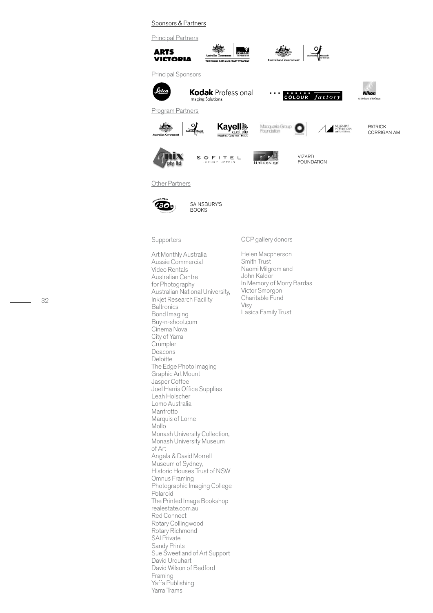# **Sponsors & Partners**

Principal Partners  $\begin{array}{c|c}\n\hline\n\textbf{Count} & \textbf{Count} \\
\hline\n\textbf{Count} & \textbf{Count} \\
\hline\n\textbf{for the At} \end{array}$ **美 ARTS VICTORIA** Principal Sponsors <u>feica</u> **Kodak** Professional COLOUR  $\sqrt{factor}$ **Imaging Solutions** Program Partners **Kayell** Macquarie Group<br>Foundation O <u>australia</u> maning . Gra





**Nikon** 







VIZARD FOUNDATION

**Other Partners** 



SAINSBURY'S **BOOKS** 

#### **Supporters**

Art Monthly Australia Aussie Commercial Video Rentals Australian Centre for Photography Australian National University, Inkjet Research Facility **Baltronics** Bond Imaging Buy-n-shoot.com Cinema Nova City of Yarra **Crumpler** Deacons **Deloitte** The Edge Photo Imaging Graphic Art Mount Jasper Coffee Joel Harris Office Supplies Leah Holscher Lomo Australia Manfrotto Marquis of Lorne Mollo Monash University Collection, Monash University Museum of Art Angela & David Morrell Museum of Sydney, Historic Houses Trust of NSW Omnus Framing Photographic Imaging College Polaroid The Printed Image Bookshop realestate.com.au Red Connect Rotary Collingwood Rotary Richmond SAI Private Sandy Prints Sue Sweetland of Art Support David Urquhart David Wilson of Bedford Framing Yaffa Publishing Yarra Trams

CCP gallery donors

Helen Macpherson Smith Trust Naomi Milgrom and John Kaldor In Memory of Morry Bardas Victor Smorgon Charitable Fund Visy Lasica Family Trust